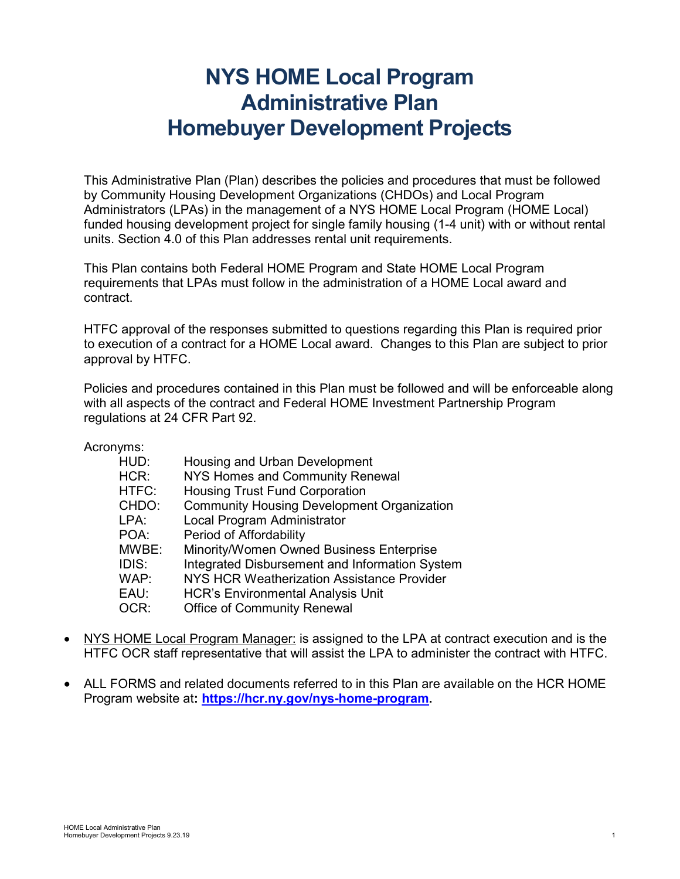# **NYS HOME Local Program Administrative Plan Homebuyer Development Projects**

This Administrative Plan (Plan) describes the policies and procedures that must be followed by Community Housing Development Organizations (CHDOs) and Local Program Administrators (LPAs) in the management of a NYS HOME Local Program (HOME Local) funded housing development project for single family housing (1-4 unit) with or without rental units. Section 4.0 of this Plan addresses rental unit requirements.

This Plan contains both Federal HOME Program and State HOME Local Program requirements that LPAs must follow in the administration of a HOME Local award and contract.

HTFC approval of the responses submitted to questions regarding this Plan is required prior to execution of a contract for a HOME Local award. Changes to this Plan are subject to prior approval by HTFC.

Policies and procedures contained in this Plan must be followed and will be enforceable along with all aspects of the contract and Federal HOME Investment Partnership Program regulations at 24 CFR Part 92.

Acronyms:

| Housing and Urban Development                     |
|---------------------------------------------------|
| NYS Homes and Community Renewal                   |
| <b>Housing Trust Fund Corporation</b>             |
| <b>Community Housing Development Organization</b> |
| Local Program Administrator                       |
| Period of Affordability                           |
| Minority/Women Owned Business Enterprise          |
| Integrated Disbursement and Information System    |
| NYS HCR Weatherization Assistance Provider        |
| <b>HCR's Environmental Analysis Unit</b>          |
| <b>Office of Community Renewal</b>                |
|                                                   |

- NYS HOME Local Program Manager: is assigned to the LPA at contract execution and is the HTFC OCR staff representative that will assist the LPA to administer the contract with HTFC.
- ALL FORMS and related documents referred to in this Plan are available on the HCR HOME Program website at**: [https://hcr.ny.gov/nys-home-program.](https://hcr.ny.gov/nys-home-program)**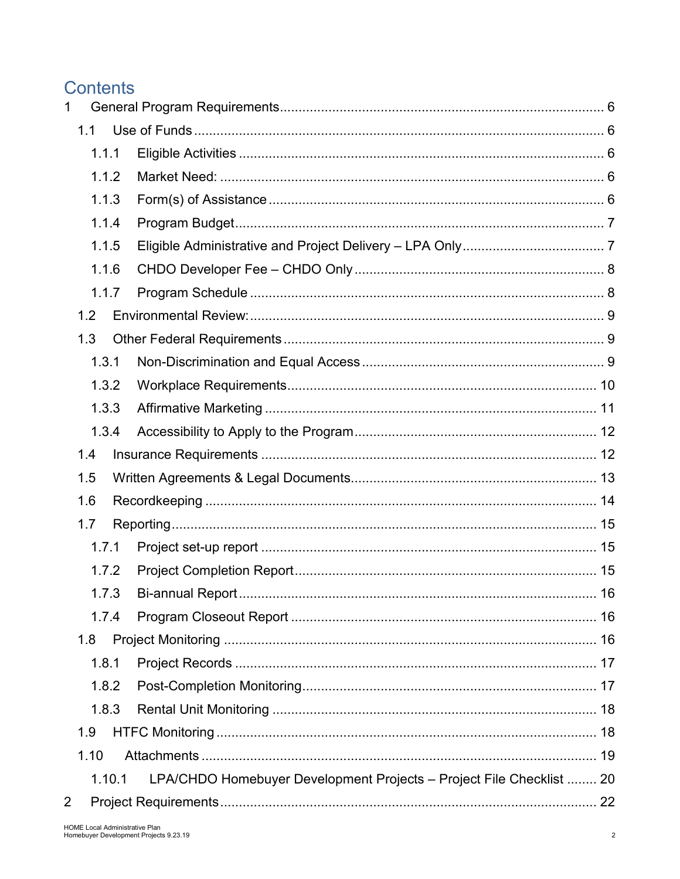# **Contents**

| 1              |       |        |                                                                      |    |
|----------------|-------|--------|----------------------------------------------------------------------|----|
|                | 1.1   |        |                                                                      |    |
|                | 1.1.1 |        |                                                                      |    |
|                |       | 1.1.2  |                                                                      |    |
|                | 1.1.3 |        |                                                                      |    |
|                | 1.1.4 |        |                                                                      |    |
|                | 1.1.5 |        |                                                                      |    |
|                |       | 1.1.6  |                                                                      |    |
|                |       | 1.1.7  |                                                                      |    |
|                | 1.2   |        |                                                                      |    |
|                | 1.3   |        |                                                                      |    |
|                | 1.3.1 |        |                                                                      |    |
|                |       | 1.3.2  |                                                                      |    |
|                |       | 1.3.3  |                                                                      |    |
|                |       | 1.3.4  |                                                                      |    |
|                | 1.4   |        |                                                                      |    |
|                | 1.5   |        |                                                                      |    |
|                | 1.6   |        |                                                                      |    |
|                | 1.7   |        |                                                                      |    |
|                | 1.7.1 |        |                                                                      |    |
|                |       | 1.7.2  |                                                                      |    |
|                |       |        |                                                                      | 16 |
|                |       | 1.7.4  |                                                                      |    |
|                | 1.8   |        |                                                                      |    |
|                | 1.8.1 |        |                                                                      |    |
|                |       | 1.8.2  |                                                                      |    |
|                |       | 1.8.3  |                                                                      |    |
|                | 1.9   |        |                                                                      |    |
|                | 1.10  |        |                                                                      |    |
|                |       | 1.10.1 | LPA/CHDO Homebuyer Development Projects - Project File Checklist  20 |    |
| $\overline{2}$ |       |        |                                                                      |    |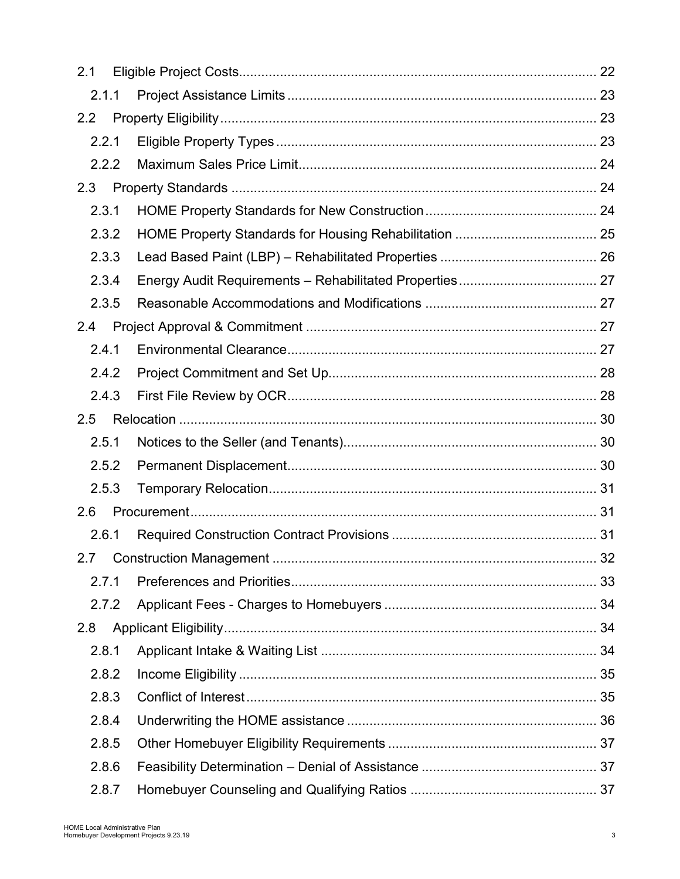| 2.1              |       |    |
|------------------|-------|----|
|                  | 2.1.1 |    |
| $2.2\phantom{0}$ |       |    |
|                  | 2.2.1 |    |
|                  | 2.2.2 |    |
| 2.3              |       |    |
|                  | 2.3.1 |    |
|                  | 2.3.2 |    |
|                  | 2.3.3 |    |
|                  | 2.3.4 |    |
|                  | 2.3.5 |    |
| 2.4              |       |    |
|                  | 2.4.1 |    |
|                  | 2.4.2 |    |
|                  | 2.4.3 |    |
| 2.5              |       |    |
|                  | 2.5.1 |    |
|                  | 2.5.2 |    |
|                  | 2.5.3 |    |
| 2.6              |       |    |
|                  | 2.6.1 |    |
|                  |       | 32 |
|                  | 2.7.1 |    |
|                  | 2.7.2 |    |
| 2.8              |       |    |
|                  | 2.8.1 |    |
|                  | 2.8.2 |    |
|                  | 2.8.3 |    |
|                  | 2.8.4 |    |
|                  | 2.8.5 |    |
|                  | 2.8.6 |    |
|                  | 2.8.7 |    |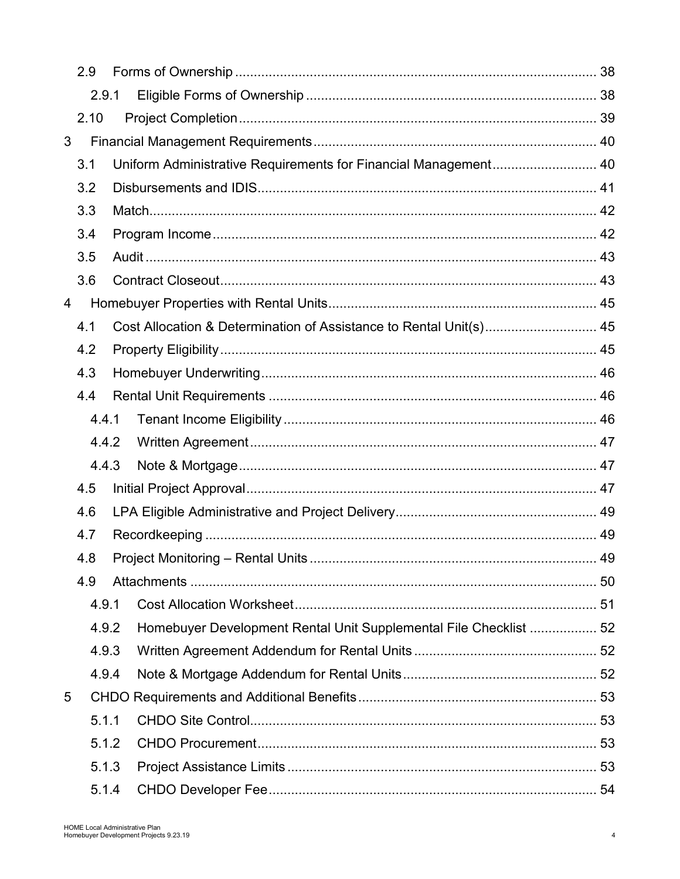|   | 2.9   |                                                                    |  |
|---|-------|--------------------------------------------------------------------|--|
|   | 2.9.1 |                                                                    |  |
|   | 2.10  |                                                                    |  |
| 3 |       |                                                                    |  |
|   | 3.1   | Uniform Administrative Requirements for Financial Management 40    |  |
|   | 3.2   |                                                                    |  |
|   | 3.3   |                                                                    |  |
|   | 3.4   |                                                                    |  |
|   | 3.5   |                                                                    |  |
|   | 3.6   |                                                                    |  |
| 4 |       |                                                                    |  |
|   | 4.1   | Cost Allocation & Determination of Assistance to Rental Unit(s) 45 |  |
|   | 4.2   |                                                                    |  |
|   | 4.3   |                                                                    |  |
|   | 4.4   |                                                                    |  |
|   | 4.4.1 |                                                                    |  |
|   | 4.4.2 |                                                                    |  |
|   | 4.4.3 |                                                                    |  |
|   | 4.5   |                                                                    |  |
|   | 4.6   |                                                                    |  |
|   | 4.7   |                                                                    |  |
|   | 4.8   |                                                                    |  |
|   | 4.9   |                                                                    |  |
|   | 4.9.1 |                                                                    |  |
|   | 4.9.2 | Homebuyer Development Rental Unit Supplemental File Checklist  52  |  |
|   | 4.9.3 |                                                                    |  |
|   | 4.9.4 |                                                                    |  |
| 5 |       |                                                                    |  |
|   | 5.1.1 |                                                                    |  |
|   | 5.1.2 |                                                                    |  |
|   | 5.1.3 |                                                                    |  |
|   | 5.1.4 |                                                                    |  |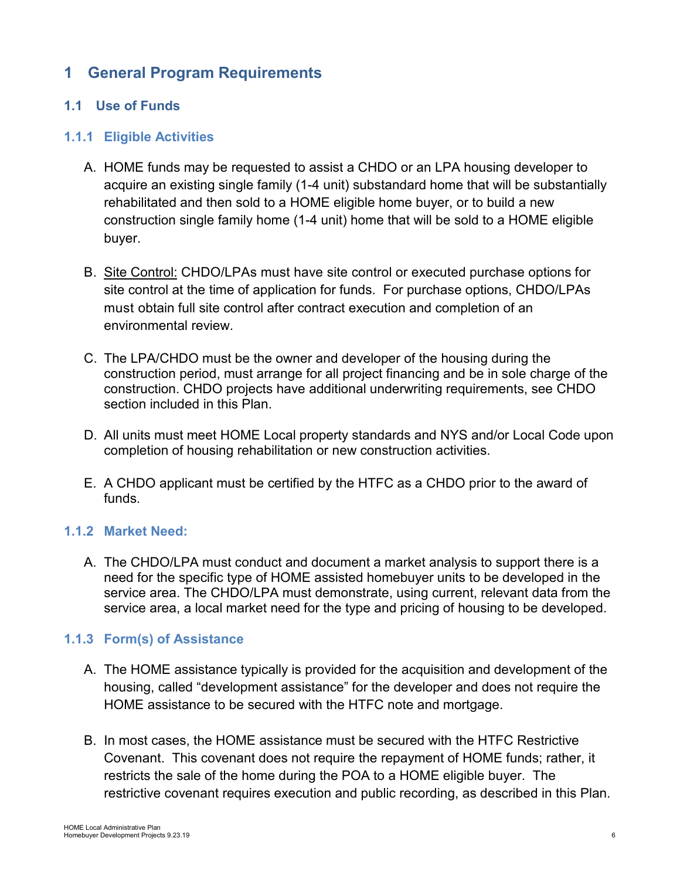# <span id="page-5-0"></span>**1 General Program Requirements**

## <span id="page-5-1"></span>**1.1 Use of Funds**

#### <span id="page-5-2"></span>**1.1.1 Eligible Activities**

- A. HOME funds may be requested to assist a CHDO or an LPA housing developer to acquire an existing single family (1-4 unit) substandard home that will be substantially rehabilitated and then sold to a HOME eligible home buyer, or to build a new construction single family home (1-4 unit) home that will be sold to a HOME eligible buyer.
- B. Site Control: CHDO/LPAs must have site control or executed purchase options for site control at the time of application for funds. For purchase options, CHDO/LPAs must obtain full site control after contract execution and completion of an environmental review.
- C. The LPA/CHDO must be the owner and developer of the housing during the construction period, must arrange for all project financing and be in sole charge of the construction. CHDO projects have additional underwriting requirements, see CHDO section included in this Plan.
- D. All units must meet HOME Local property standards and NYS and/or Local Code upon completion of housing rehabilitation or new construction activities.
- E. A CHDO applicant must be certified by the HTFC as a CHDO prior to the award of funds.

#### <span id="page-5-3"></span>**1.1.2 Market Need:**

A. The CHDO/LPA must conduct and document a market analysis to support there is a need for the specific type of HOME assisted homebuyer units to be developed in the service area. The CHDO/LPA must demonstrate, using current, relevant data from the service area, a local market need for the type and pricing of housing to be developed.

#### <span id="page-5-4"></span>**1.1.3 Form(s) of Assistance**

- A. The HOME assistance typically is provided for the acquisition and development of the housing, called "development assistance" for the developer and does not require the HOME assistance to be secured with the HTFC note and mortgage.
- B. In most cases, the HOME assistance must be secured with the HTFC Restrictive Covenant. This covenant does not require the repayment of HOME funds; rather, it restricts the sale of the home during the POA to a HOME eligible buyer. The restrictive covenant requires execution and public recording, as described in this Plan.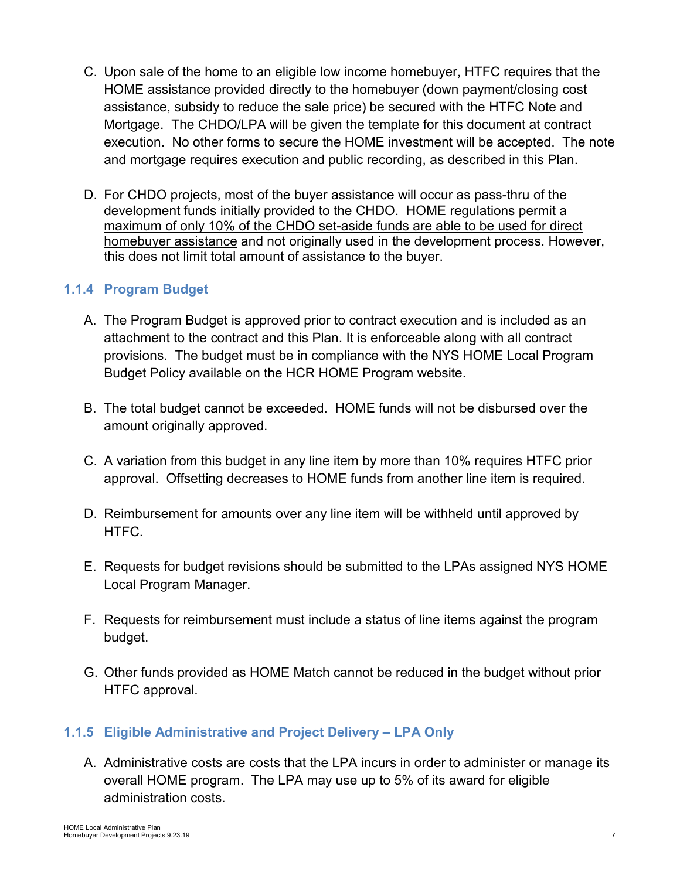- C. Upon sale of the home to an eligible low income homebuyer, HTFC requires that the HOME assistance provided directly to the homebuyer (down payment/closing cost assistance, subsidy to reduce the sale price) be secured with the HTFC Note and Mortgage. The CHDO/LPA will be given the template for this document at contract execution. No other forms to secure the HOME investment will be accepted. The note and mortgage requires execution and public recording, as described in this Plan.
- D. For CHDO projects, most of the buyer assistance will occur as pass-thru of the development funds initially provided to the CHDO. HOME regulations permit a maximum of only 10% of the CHDO set-aside funds are able to be used for direct homebuyer assistance and not originally used in the development process. However, this does not limit total amount of assistance to the buyer.

## <span id="page-6-0"></span>**1.1.4 Program Budget**

- A. The Program Budget is approved prior to contract execution and is included as an attachment to the contract and this Plan. It is enforceable along with all contract provisions. The budget must be in compliance with the NYS HOME Local Program Budget Policy available on the HCR HOME Program website.
- B. The total budget cannot be exceeded. HOME funds will not be disbursed over the amount originally approved.
- C. A variation from this budget in any line item by more than 10% requires HTFC prior approval. Offsetting decreases to HOME funds from another line item is required.
- D. Reimbursement for amounts over any line item will be withheld until approved by HTFC.
- E. Requests for budget revisions should be submitted to the LPAs assigned NYS HOME Local Program Manager.
- F. Requests for reimbursement must include a status of line items against the program budget.
- G. Other funds provided as HOME Match cannot be reduced in the budget without prior HTFC approval.

## <span id="page-6-1"></span>**1.1.5 Eligible Administrative and Project Delivery – LPA Only**

A. Administrative costs are costs that the LPA incurs in order to administer or manage its overall HOME program. The LPA may use up to 5% of its award for eligible administration costs.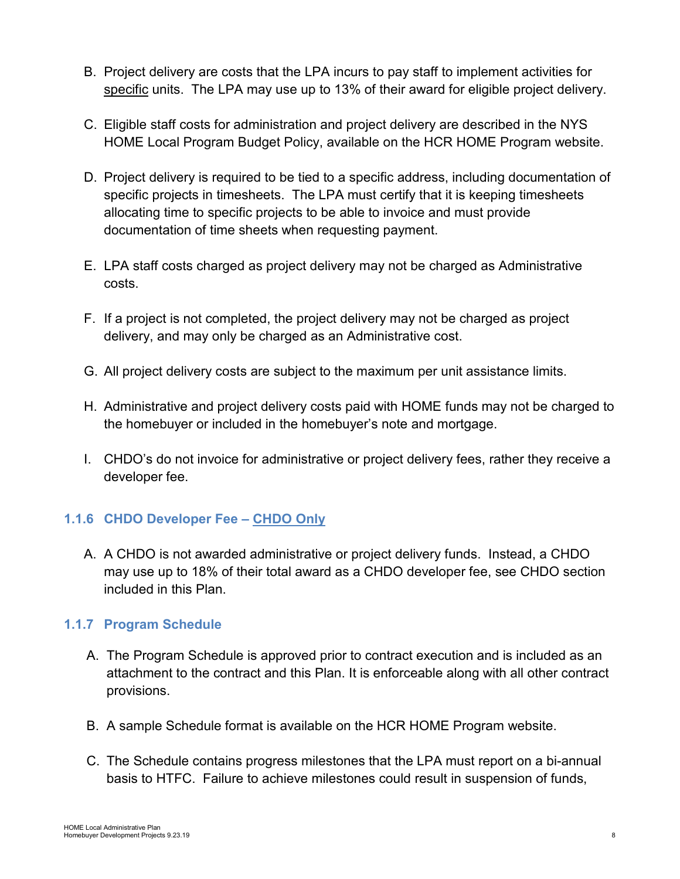- B. Project delivery are costs that the LPA incurs to pay staff to implement activities for specific units. The LPA may use up to 13% of their award for eligible project delivery.
- C. Eligible staff costs for administration and project delivery are described in the NYS HOME Local Program Budget Policy, available on the HCR HOME Program website.
- D. Project delivery is required to be tied to a specific address, including documentation of specific projects in timesheets. The LPA must certify that it is keeping timesheets allocating time to specific projects to be able to invoice and must provide documentation of time sheets when requesting payment.
- E. LPA staff costs charged as project delivery may not be charged as Administrative costs.
- F. If a project is not completed, the project delivery may not be charged as project delivery, and may only be charged as an Administrative cost.
- G. All project delivery costs are subject to the maximum per unit assistance limits.
- H. Administrative and project delivery costs paid with HOME funds may not be charged to the homebuyer or included in the homebuyer's note and mortgage.
- I. CHDO's do not invoice for administrative or project delivery fees, rather they receive a developer fee.

# <span id="page-7-0"></span>**1.1.6 CHDO Developer Fee – CHDO Only**

A. A CHDO is not awarded administrative or project delivery funds. Instead, a CHDO may use up to 18% of their total award as a CHDO developer fee, see CHDO section included in this Plan.

# <span id="page-7-1"></span>**1.1.7 Program Schedule**

- A. The Program Schedule is approved prior to contract execution and is included as an attachment to the contract and this Plan. It is enforceable along with all other contract provisions.
- B. A sample Schedule format is available on the HCR HOME Program website.
- C. The Schedule contains progress milestones that the LPA must report on a bi-annual basis to HTFC. Failure to achieve milestones could result in suspension of funds,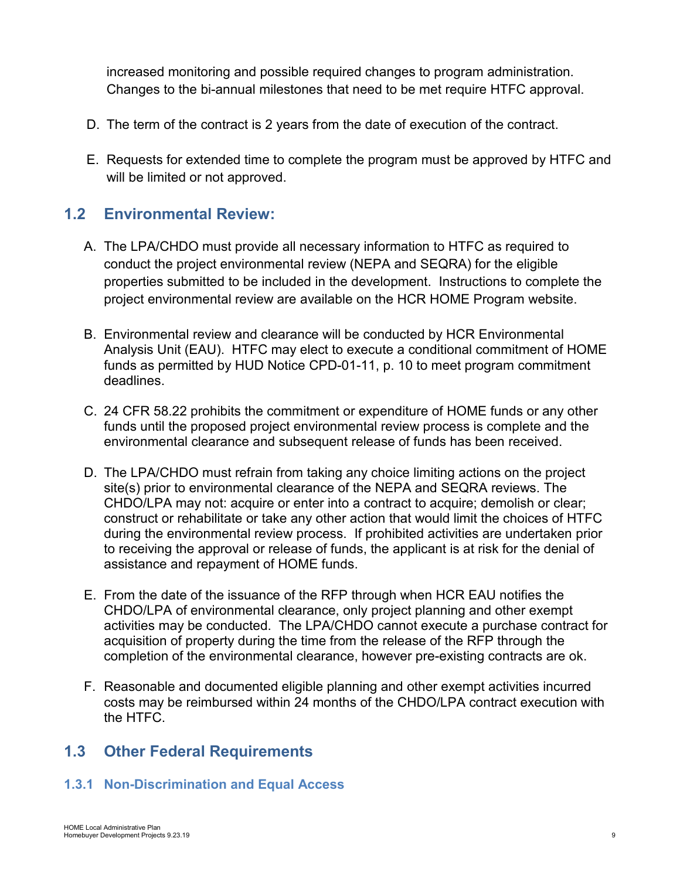increased monitoring and possible required changes to program administration. Changes to the bi-annual milestones that need to be met require HTFC approval.

- D. The term of the contract is 2 years from the date of execution of the contract.
- E. Requests for extended time to complete the program must be approved by HTFC and will be limited or not approved.

# <span id="page-8-0"></span>**1.2 Environmental Review:**

- A. The LPA/CHDO must provide all necessary information to HTFC as required to conduct the project environmental review (NEPA and SEQRA) for the eligible properties submitted to be included in the development. Instructions to complete the project environmental review are available on the HCR HOME Program website.
- B. Environmental review and clearance will be conducted by HCR Environmental Analysis Unit (EAU). HTFC may elect to execute a conditional commitment of HOME funds as permitted by HUD Notice CPD-01-11, p. 10 to meet program commitment deadlines.
- C. 24 CFR 58.22 prohibits the commitment or expenditure of HOME funds or any other funds until the proposed project environmental review process is complete and the environmental clearance and subsequent release of funds has been received.
- D. The LPA/CHDO must refrain from taking any choice limiting actions on the project site(s) prior to environmental clearance of the NEPA and SEQRA reviews. The CHDO/LPA may not: acquire or enter into a contract to acquire; demolish or clear; construct or rehabilitate or take any other action that would limit the choices of HTFC during the environmental review process. If prohibited activities are undertaken prior to receiving the approval or release of funds, the applicant is at risk for the denial of assistance and repayment of HOME funds.
- E. From the date of the issuance of the RFP through when HCR EAU notifies the CHDO/LPA of environmental clearance, only project planning and other exempt activities may be conducted. The LPA/CHDO cannot execute a purchase contract for acquisition of property during the time from the release of the RFP through the completion of the environmental clearance, however pre-existing contracts are ok.
- F. Reasonable and documented eligible planning and other exempt activities incurred costs may be reimbursed within 24 months of the CHDO/LPA contract execution with the HTFC.

# <span id="page-8-1"></span>**1.3 Other Federal Requirements**

## <span id="page-8-2"></span>**1.3.1 Non-Discrimination and Equal Access**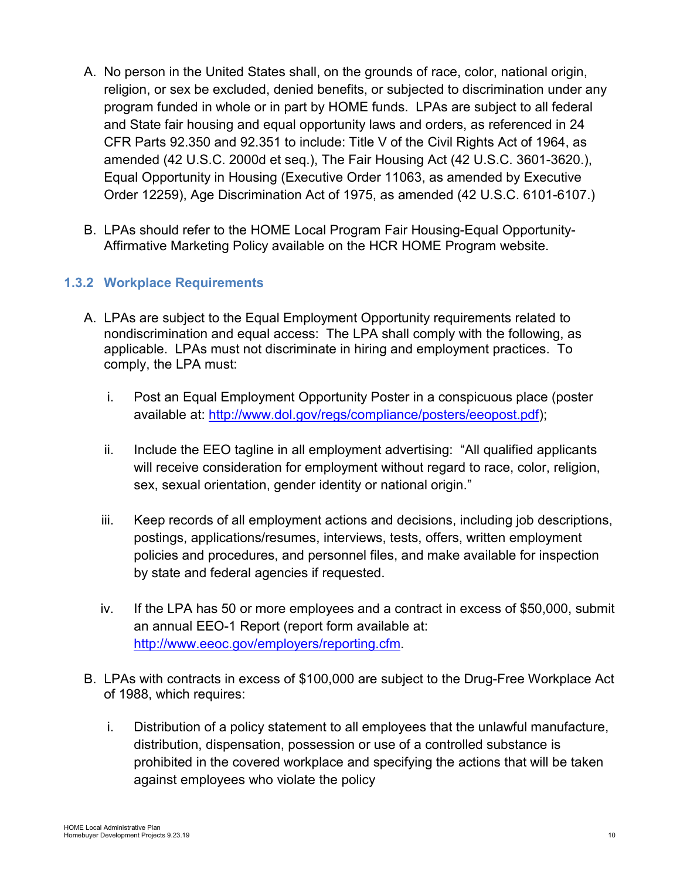- A. No person in the United States shall, on the grounds of race, color, national origin, religion, or sex be excluded, denied benefits, or subjected to discrimination under any program funded in whole or in part by HOME funds. LPAs are subject to all federal and State fair housing and equal opportunity laws and orders, as referenced in 24 CFR Parts 92.350 and 92.351 to include: Title V of the Civil Rights Act of 1964, as amended (42 U.S.C. 2000d et seq.), The Fair Housing Act (42 U.S.C. 3601-3620.), Equal Opportunity in Housing (Executive Order 11063, as amended by Executive Order 12259), Age Discrimination Act of 1975, as amended (42 U.S.C. 6101-6107.)
- B. LPAs should refer to the HOME Local Program Fair Housing-Equal Opportunity-Affirmative Marketing Policy available on the HCR HOME Program website.

# <span id="page-9-0"></span>**1.3.2 Workplace Requirements**

- A. LPAs are subject to the Equal Employment Opportunity requirements related to nondiscrimination and equal access: The LPA shall comply with the following, as applicable. LPAs must not discriminate in hiring and employment practices. To comply, the LPA must:
	- i. Post an Equal Employment Opportunity Poster in a conspicuous place (poster available at: [http://www.dol.gov/regs/compliance/posters/eeopost.pdf\)](http://www.dol.gov/regs/compliance/posters/eeopost.pdf);
	- ii. Include the EEO tagline in all employment advertising: "All qualified applicants will receive consideration for employment without regard to race, color, religion, sex, sexual orientation, gender identity or national origin."
	- iii. Keep records of all employment actions and decisions, including job descriptions, postings, applications/resumes, interviews, tests, offers, written employment policies and procedures, and personnel files, and make available for inspection by state and federal agencies if requested.
	- iv. If the LPA has 50 or more employees and a contract in excess of \$50,000, submit an annual EEO-1 Report (report form available at: [http://www.eeoc.gov/employers/reporting.cfm.](http://www.eeoc.gov/employers/reporting.cfm)
- B. LPAs with contracts in excess of \$100,000 are subject to the Drug-Free Workplace Act of 1988, which requires:
	- i. Distribution of a policy statement to all employees that the unlawful manufacture, distribution, dispensation, possession or use of a controlled substance is prohibited in the covered workplace and specifying the actions that will be taken against employees who violate the policy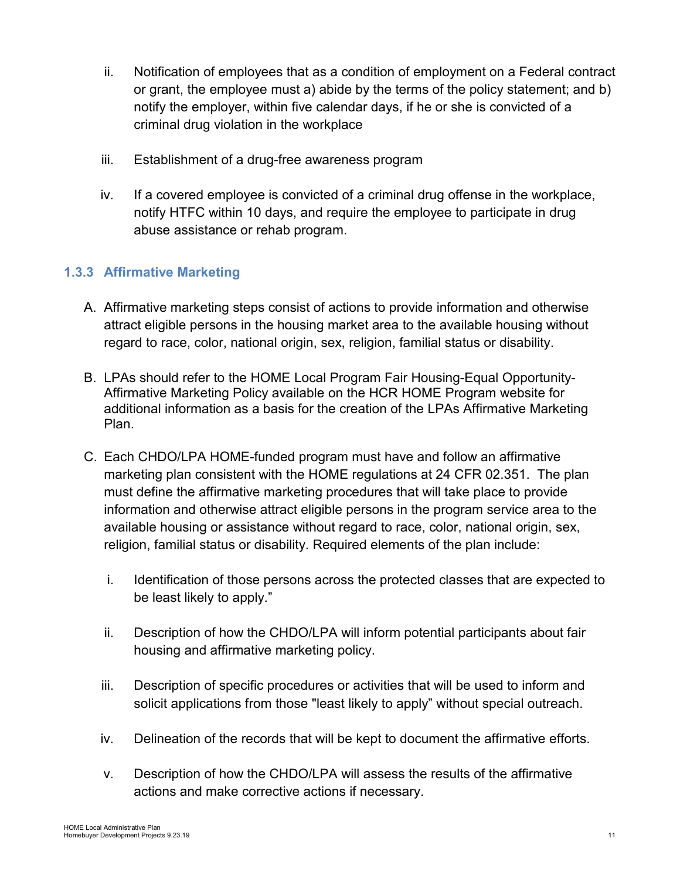- ii. Notification of employees that as a condition of employment on a Federal contract or grant, the employee must a) abide by the terms of the policy statement; and b) notify the employer, within five calendar days, if he or she is convicted of a criminal drug violation in the workplace
- iii. Establishment of a drug-free awareness program
- iv. If a covered employee is convicted of a criminal drug offense in the workplace, notify HTFC within 10 days, and require the employee to participate in drug abuse assistance or rehab program.

# <span id="page-10-0"></span>**1.3.3 Affirmative Marketing**

- A. Affirmative marketing steps consist of actions to provide information and otherwise attract eligible persons in the housing market area to the available housing without regard to race, color, national origin, sex, religion, familial status or disability.
- B. LPAs should refer to the HOME Local Program Fair Housing-Equal Opportunity-Affirmative Marketing Policy available on the HCR HOME Program website for additional information as a basis for the creation of the LPAs Affirmative Marketing Plan.
- C. Each CHDO/LPA HOME-funded program must have and follow an affirmative marketing plan consistent with the HOME regulations at 24 CFR 02.351. The plan must define the affirmative marketing procedures that will take place to provide information and otherwise attract eligible persons in the program service area to the available housing or assistance without regard to race, color, national origin, sex, religion, familial status or disability. Required elements of the plan include:
	- i. Identification of those persons across the protected classes that are expected to be least likely to apply."
	- ii. Description of how the CHDO/LPA will inform potential participants about fair housing and affirmative marketing policy.
	- iii. Description of specific procedures or activities that will be used to inform and solicit applications from those "least likely to apply" without special outreach.
	- iv. Delineation of the records that will be kept to document the affirmative efforts.
	- v. Description of how the CHDO/LPA will assess the results of the affirmative actions and make corrective actions if necessary.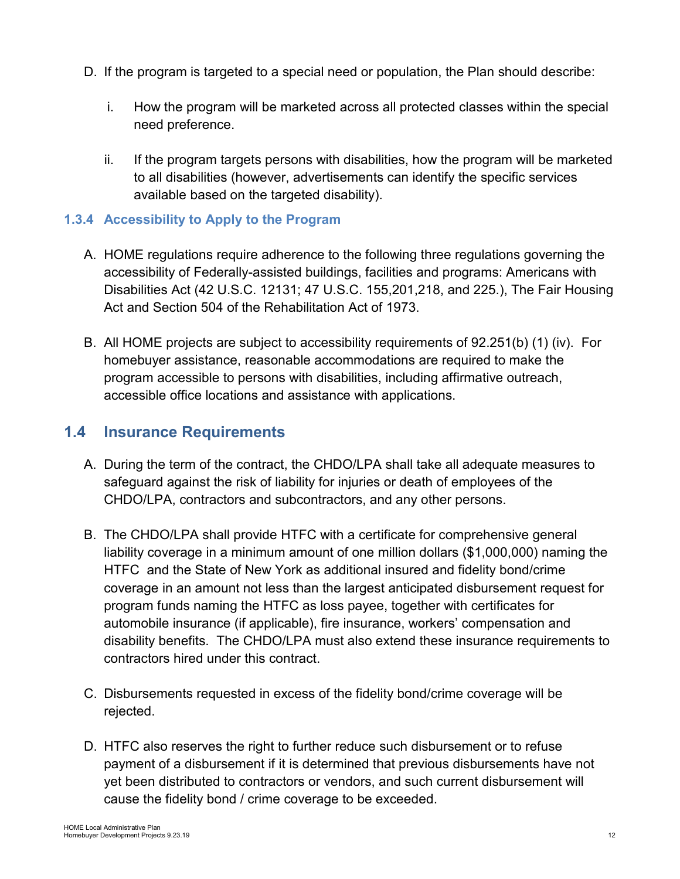- D. If the program is targeted to a special need or population, the Plan should describe:
	- i. How the program will be marketed across all protected classes within the special need preference.
	- ii. If the program targets persons with disabilities, how the program will be marketed to all disabilities (however, advertisements can identify the specific services available based on the targeted disability).

## <span id="page-11-0"></span>**1.3.4 Accessibility to Apply to the Program**

- A. HOME regulations require adherence to the following three regulations governing the accessibility of Federally-assisted buildings, facilities and programs: Americans with Disabilities Act (42 U.S.C. 12131; 47 U.S.C. 155,201,218, and 225.), The Fair Housing Act and Section 504 of the Rehabilitation Act of 1973.
- B. All HOME projects are subject to accessibility requirements of 92.251(b) (1) (iv). For homebuyer assistance, reasonable accommodations are required to make the program accessible to persons with disabilities, including affirmative outreach, accessible office locations and assistance with applications.

# <span id="page-11-1"></span>**1.4 Insurance Requirements**

- A. During the term of the contract, the CHDO/LPA shall take all adequate measures to safeguard against the risk of liability for injuries or death of employees of the CHDO/LPA, contractors and subcontractors, and any other persons.
- B. The CHDO/LPA shall provide HTFC with a certificate for comprehensive general liability coverage in a minimum amount of one million dollars (\$1,000,000) naming the HTFC and the State of New York as additional insured and fidelity bond/crime coverage in an amount not less than the largest anticipated disbursement request for program funds naming the HTFC as loss payee, together with certificates for automobile insurance (if applicable), fire insurance, workers' compensation and disability benefits. The CHDO/LPA must also extend these insurance requirements to contractors hired under this contract.
- C. Disbursements requested in excess of the fidelity bond/crime coverage will be rejected.
- D. HTFC also reserves the right to further reduce such disbursement or to refuse payment of a disbursement if it is determined that previous disbursements have not yet been distributed to contractors or vendors, and such current disbursement will cause the fidelity bond / crime coverage to be exceeded.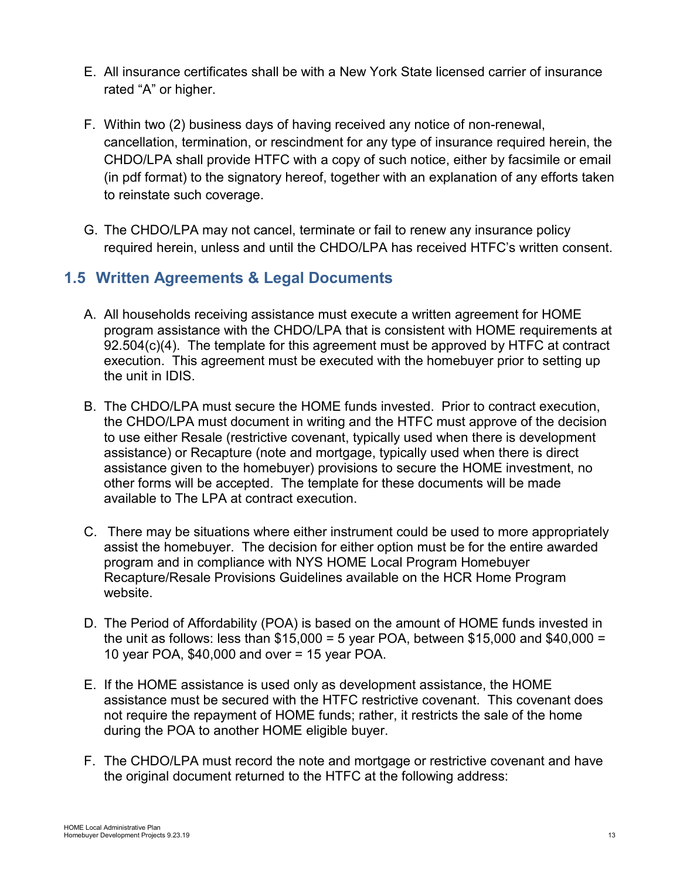- E. All insurance certificates shall be with a New York State licensed carrier of insurance rated "A" or higher.
- F. Within two (2) business days of having received any notice of non-renewal, cancellation, termination, or rescindment for any type of insurance required herein, the CHDO/LPA shall provide HTFC with a copy of such notice, either by facsimile or email (in pdf format) to the signatory hereof, together with an explanation of any efforts taken to reinstate such coverage.
- G. The CHDO/LPA may not cancel, terminate or fail to renew any insurance policy required herein, unless and until the CHDO/LPA has received HTFC's written consent.

# <span id="page-12-0"></span>**1.5 Written Agreements & Legal Documents**

- A. All households receiving assistance must execute a written agreement for HOME program assistance with the CHDO/LPA that is consistent with HOME requirements at 92.504(c)(4). The template for this agreement must be approved by HTFC at contract execution. This agreement must be executed with the homebuyer prior to setting up the unit in IDIS.
- B. The CHDO/LPA must secure the HOME funds invested. Prior to contract execution, the CHDO/LPA must document in writing and the HTFC must approve of the decision to use either Resale (restrictive covenant, typically used when there is development assistance) or Recapture (note and mortgage, typically used when there is direct assistance given to the homebuyer) provisions to secure the HOME investment, no other forms will be accepted. The template for these documents will be made available to The LPA at contract execution.
- C. There may be situations where either instrument could be used to more appropriately assist the homebuyer. The decision for either option must be for the entire awarded program and in compliance with NYS HOME Local Program Homebuyer Recapture/Resale Provisions Guidelines available on the HCR Home Program website.
- D. The Period of Affordability (POA) is based on the amount of HOME funds invested in the unit as follows: less than  $$15,000 = 5$  year POA, between  $$15,000$  and  $$40,000 =$ 10 year POA, \$40,000 and over = 15 year POA.
- E. If the HOME assistance is used only as development assistance, the HOME assistance must be secured with the HTFC restrictive covenant. This covenant does not require the repayment of HOME funds; rather, it restricts the sale of the home during the POA to another HOME eligible buyer.
- F. The CHDO/LPA must record the note and mortgage or restrictive covenant and have the original document returned to the HTFC at the following address: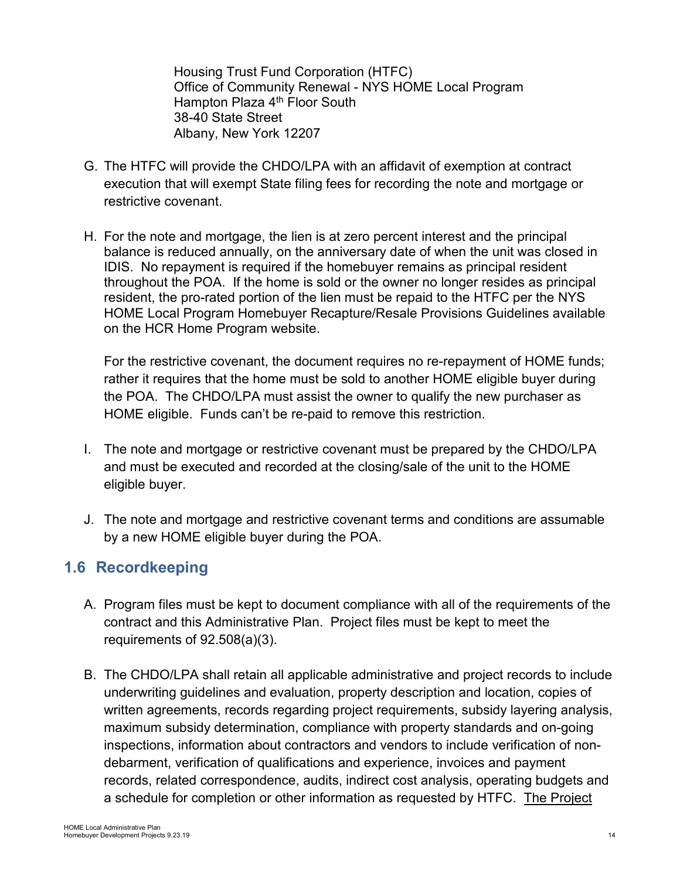Housing Trust Fund Corporation (HTFC) Office of Community Renewal - NYS HOME Local Program Hampton Plaza 4<sup>th</sup> Floor South 38-40 State Street Albany, New York 12207

- G. The HTFC will provide the CHDO/LPA with an affidavit of exemption at contract execution that will exempt State filing fees for recording the note and mortgage or restrictive covenant.
- H. For the note and mortgage, the lien is at zero percent interest and the principal balance is reduced annually, on the anniversary date of when the unit was closed in IDIS. No repayment is required if the homebuyer remains as principal resident throughout the POA. If the home is sold or the owner no longer resides as principal resident, the pro-rated portion of the lien must be repaid to the HTFC per the NYS HOME Local Program Homebuyer Recapture/Resale Provisions Guidelines available on the HCR Home Program website.

For the restrictive covenant, the document requires no re-repayment of HOME funds; rather it requires that the home must be sold to another HOME eligible buyer during the POA. The CHDO/LPA must assist the owner to qualify the new purchaser as HOME eligible. Funds can't be re-paid to remove this restriction.

- I. The note and mortgage or restrictive covenant must be prepared by the CHDO/LPA and must be executed and recorded at the closing/sale of the unit to the HOME eligible buyer.
- J. The note and mortgage and restrictive covenant terms and conditions are assumable by a new HOME eligible buyer during the POA.

# <span id="page-13-0"></span>**1.6 Recordkeeping**

- A. Program files must be kept to document compliance with all of the requirements of the contract and this Administrative Plan. Project files must be kept to meet the requirements of 92.508(a)(3).
- B. The CHDO/LPA shall retain all applicable administrative and project records to include underwriting guidelines and evaluation, property description and location, copies of written agreements, records regarding project requirements, subsidy layering analysis, maximum subsidy determination, compliance with property standards and on-going inspections, information about contractors and vendors to include verification of nondebarment, verification of qualifications and experience, invoices and payment records, related correspondence, audits, indirect cost analysis, operating budgets and a schedule for completion or other information as requested by HTFC. The Project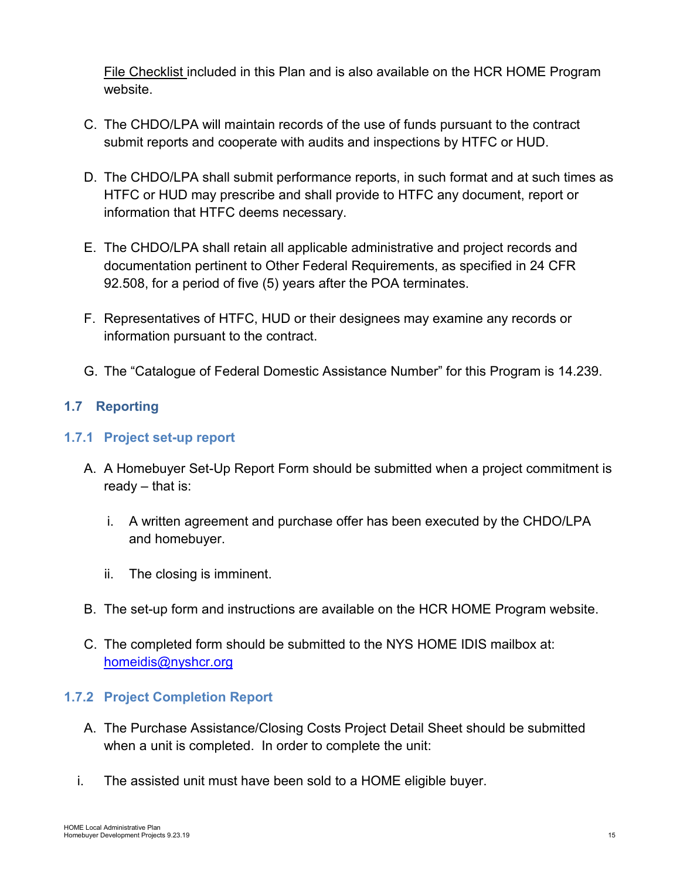File Checklist included in this Plan and is also available on the HCR HOME Program website.

- C. The CHDO/LPA will maintain records of the use of funds pursuant to the contract submit reports and cooperate with audits and inspections by HTFC or HUD.
- D. The CHDO/LPA shall submit performance reports, in such format and at such times as HTFC or HUD may prescribe and shall provide to HTFC any document, report or information that HTFC deems necessary.
- E. The CHDO/LPA shall retain all applicable administrative and project records and documentation pertinent to Other Federal Requirements, as specified in 24 CFR 92.508, for a period of five (5) years after the POA terminates.
- F. Representatives of HTFC, HUD or their designees may examine any records or information pursuant to the contract.
- G. The "Catalogue of Federal Domestic Assistance Number" for this Program is 14.239.

# <span id="page-14-0"></span>**1.7 Reporting**

## <span id="page-14-1"></span>**1.7.1 Project set-up report**

- A. A Homebuyer Set-Up Report Form should be submitted when a project commitment is ready – that is:
	- i. A written agreement and purchase offer has been executed by the CHDO/LPA and homebuyer.
	- ii. The closing is imminent.
- B. The set-up form and instructions are available on the HCR HOME Program website.
- C. The completed form should be submitted to the NYS HOME IDIS mailbox at: [homeidis@nyshcr.org](mailto:homeidis@nyshcr.org)

# <span id="page-14-2"></span>**1.7.2 Project Completion Report**

- A. The Purchase Assistance/Closing Costs Project Detail Sheet should be submitted when a unit is completed. In order to complete the unit:
- i. The assisted unit must have been sold to a HOME eligible buyer.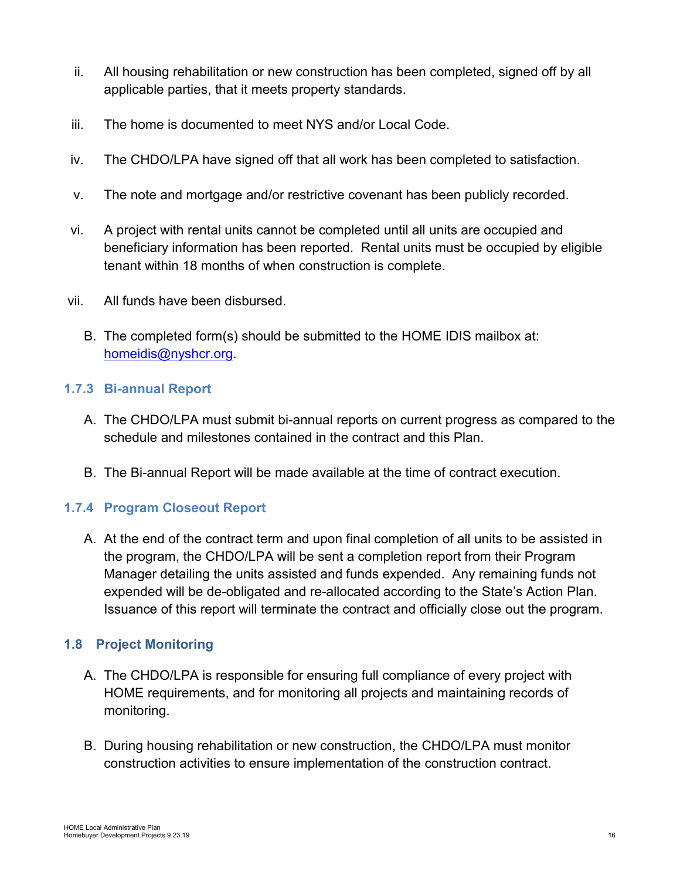- ii. All housing rehabilitation or new construction has been completed, signed off by all applicable parties, that it meets property standards.
- iii. The home is documented to meet NYS and/or Local Code.
- iv. The CHDO/LPA have signed off that all work has been completed to satisfaction.
- v. The note and mortgage and/or restrictive covenant has been publicly recorded.
- vi. A project with rental units cannot be completed until all units are occupied and beneficiary information has been reported. Rental units must be occupied by eligible tenant within 18 months of when construction is complete.
- vii. All funds have been disbursed.
	- B. The completed form(s) should be submitted to the HOME IDIS mailbox at: [homeidis@nyshcr.org.](mailto:homeidis@nyshcr.org)

### <span id="page-15-0"></span>**1.7.3 Bi-annual Report**

- A. The CHDO/LPA must submit bi-annual reports on current progress as compared to the schedule and milestones contained in the contract and this Plan.
- B. The Bi-annual Report will be made available at the time of contract execution.

# <span id="page-15-1"></span>**1.7.4 Program Closeout Report**

A. At the end of the contract term and upon final completion of all units to be assisted in the program, the CHDO/LPA will be sent a completion report from their Program Manager detailing the units assisted and funds expended. Any remaining funds not expended will be de-obligated and re-allocated according to the State's Action Plan. Issuance of this report will terminate the contract and officially close out the program.

## <span id="page-15-2"></span>**1.8 Project Monitoring**

- A. The CHDO/LPA is responsible for ensuring full compliance of every project with HOME requirements, and for monitoring all projects and maintaining records of monitoring.
- B. During housing rehabilitation or new construction, the CHDO/LPA must monitor construction activities to ensure implementation of the construction contract.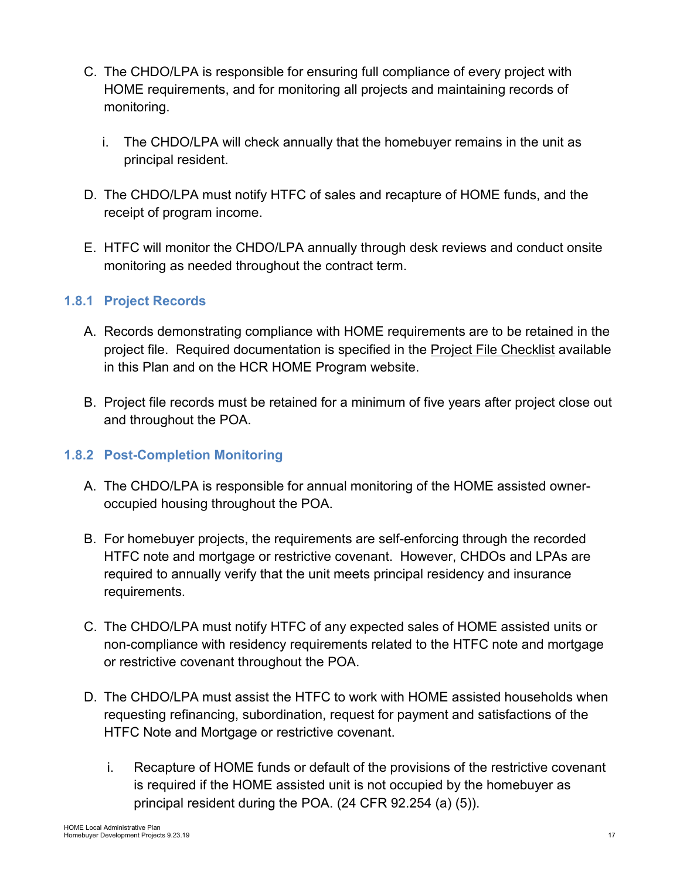- C. The CHDO/LPA is responsible for ensuring full compliance of every project with HOME requirements, and for monitoring all projects and maintaining records of monitoring.
	- i. The CHDO/LPA will check annually that the homebuyer remains in the unit as principal resident.
- D. The CHDO/LPA must notify HTFC of sales and recapture of HOME funds, and the receipt of program income.
- E. HTFC will monitor the CHDO/LPA annually through desk reviews and conduct onsite monitoring as needed throughout the contract term.

# <span id="page-16-0"></span>**1.8.1 Project Records**

- A. Records demonstrating compliance with HOME requirements are to be retained in the project file. Required documentation is specified in the Project File Checklist available in this Plan and on the HCR HOME Program website.
- B. Project file records must be retained for a minimum of five years after project close out and throughout the POA.

## <span id="page-16-1"></span>**1.8.2 Post-Completion Monitoring**

- A. The CHDO/LPA is responsible for annual monitoring of the HOME assisted owneroccupied housing throughout the POA.
- B. For homebuyer projects, the requirements are self-enforcing through the recorded HTFC note and mortgage or restrictive covenant. However, CHDOs and LPAs are required to annually verify that the unit meets principal residency and insurance requirements.
- C. The CHDO/LPA must notify HTFC of any expected sales of HOME assisted units or non-compliance with residency requirements related to the HTFC note and mortgage or restrictive covenant throughout the POA.
- D. The CHDO/LPA must assist the HTFC to work with HOME assisted households when requesting refinancing, subordination, request for payment and satisfactions of the HTFC Note and Mortgage or restrictive covenant.
	- i. Recapture of HOME funds or default of the provisions of the restrictive covenant is required if the HOME assisted unit is not occupied by the homebuyer as principal resident during the POA. (24 CFR 92.254 (a) (5)).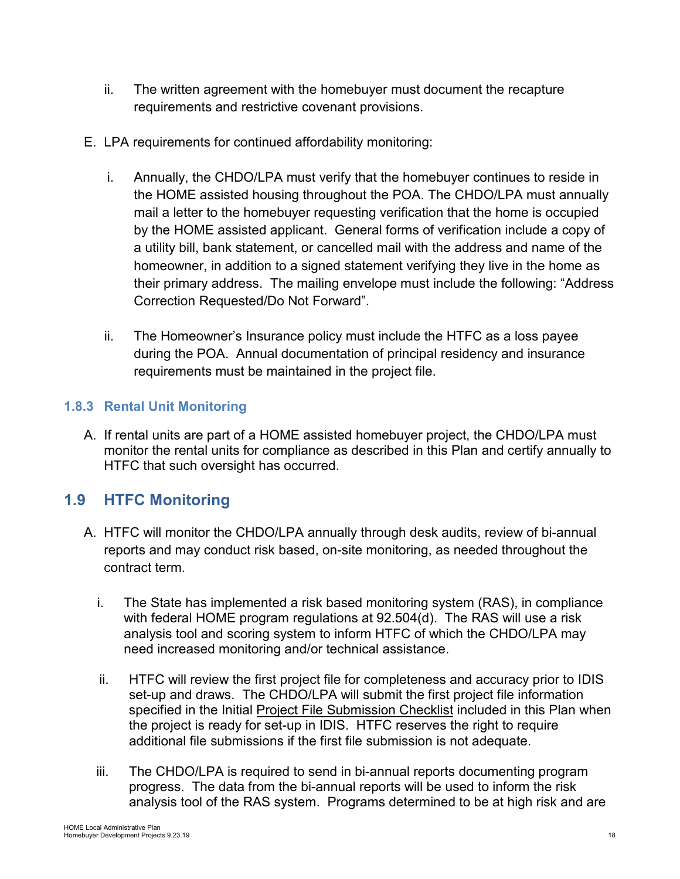- ii. The written agreement with the homebuyer must document the recapture requirements and restrictive covenant provisions.
- E. LPA requirements for continued affordability monitoring:
	- i. Annually, the CHDO/LPA must verify that the homebuyer continues to reside in the HOME assisted housing throughout the POA. The CHDO/LPA must annually mail a letter to the homebuyer requesting verification that the home is occupied by the HOME assisted applicant. General forms of verification include a copy of a utility bill, bank statement, or cancelled mail with the address and name of the homeowner, in addition to a signed statement verifying they live in the home as their primary address. The mailing envelope must include the following: "Address Correction Requested/Do Not Forward".
	- ii. The Homeowner's Insurance policy must include the HTFC as a loss payee during the POA. Annual documentation of principal residency and insurance requirements must be maintained in the project file.

# <span id="page-17-0"></span>**1.8.3 Rental Unit Monitoring**

A. If rental units are part of a HOME assisted homebuyer project, the CHDO/LPA must monitor the rental units for compliance as described in this Plan and certify annually to HTFC that such oversight has occurred.

# <span id="page-17-1"></span>**1.9 HTFC Monitoring**

- A. HTFC will monitor the CHDO/LPA annually through desk audits, review of bi-annual reports and may conduct risk based, on-site monitoring, as needed throughout the contract term.
	- i. The State has implemented a risk based monitoring system (RAS), in compliance with federal HOME program regulations at 92.504(d). The RAS will use a risk analysis tool and scoring system to inform HTFC of which the CHDO/LPA may need increased monitoring and/or technical assistance.
	- ii. HTFC will review the first project file for completeness and accuracy prior to IDIS set-up and draws. The CHDO/LPA will submit the first project file information specified in the Initial Project File Submission Checklist included in this Plan when the project is ready for set-up in IDIS. HTFC reserves the right to require additional file submissions if the first file submission is not adequate.
	- iii. The CHDO/LPA is required to send in bi-annual reports documenting program progress. The data from the bi-annual reports will be used to inform the risk analysis tool of the RAS system. Programs determined to be at high risk and are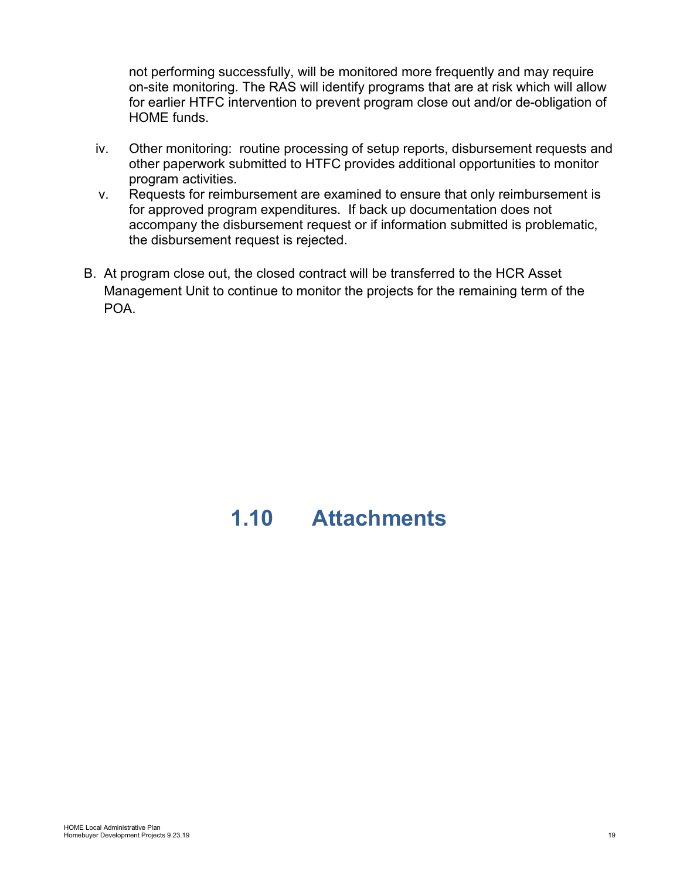not performing successfully, will be monitored more frequently and may require on-site monitoring. The RAS will identify programs that are at risk which will allow for earlier HTFC intervention to prevent program close out and/or de-obligation of HOME funds.

- iv. Other monitoring: routine processing of setup reports, disbursement requests and other paperwork submitted to HTFC provides additional opportunities to monitor program activities.
- v. Requests for reimbursement are examined to ensure that only reimbursement is for approved program expenditures. If back up documentation does not accompany the disbursement request or if information submitted is problematic, the disbursement request is rejected.
- B. At program close out, the closed contract will be transferred to the HCR Asset Management Unit to continue to monitor the projects for the remaining term of the POA.

# <span id="page-18-0"></span>**1.10 Attachments**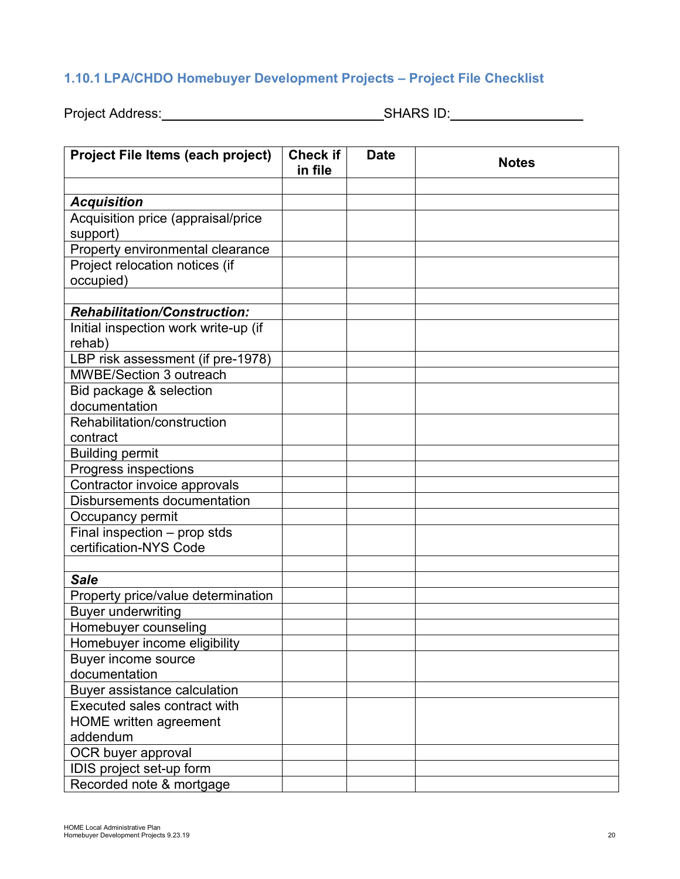# <span id="page-19-0"></span>**1.10.1 LPA/CHDO Homebuyer Development Projects – Project File Checklist**

Project Address: No. 2016. [2016] SHARS ID: No. 2016. [2016] SHARS ID:

| Project File Items (each project)    | <b>Check if</b><br>in file | <b>Date</b> | <b>Notes</b> |
|--------------------------------------|----------------------------|-------------|--------------|
|                                      |                            |             |              |
| <b>Acquisition</b>                   |                            |             |              |
| Acquisition price (appraisal/price   |                            |             |              |
| support)                             |                            |             |              |
| Property environmental clearance     |                            |             |              |
| Project relocation notices (if       |                            |             |              |
| occupied)                            |                            |             |              |
|                                      |                            |             |              |
| <b>Rehabilitation/Construction:</b>  |                            |             |              |
| Initial inspection work write-up (if |                            |             |              |
| rehab)                               |                            |             |              |
| LBP risk assessment (if pre-1978)    |                            |             |              |
| <b>MWBE/Section 3 outreach</b>       |                            |             |              |
| Bid package & selection              |                            |             |              |
| documentation                        |                            |             |              |
| Rehabilitation/construction          |                            |             |              |
| contract                             |                            |             |              |
| <b>Building permit</b>               |                            |             |              |
| Progress inspections                 |                            |             |              |
| Contractor invoice approvals         |                            |             |              |
| Disbursements documentation          |                            |             |              |
| Occupancy permit                     |                            |             |              |
| Final inspection - prop stds         |                            |             |              |
| certification-NYS Code               |                            |             |              |
|                                      |                            |             |              |
| <b>Sale</b>                          |                            |             |              |
| Property price/value determination   |                            |             |              |
| <b>Buyer underwriting</b>            |                            |             |              |
| Homebuyer counseling                 |                            |             |              |
| Homebuyer income eligibility         |                            |             |              |
| Buyer income source                  |                            |             |              |
| documentation                        |                            |             |              |
| Buyer assistance calculation         |                            |             |              |
| Executed sales contract with         |                            |             |              |
| <b>HOME</b> written agreement        |                            |             |              |
| addendum                             |                            |             |              |
| OCR buyer approval                   |                            |             |              |
| IDIS project set-up form             |                            |             |              |
| Recorded note & mortgage             |                            |             |              |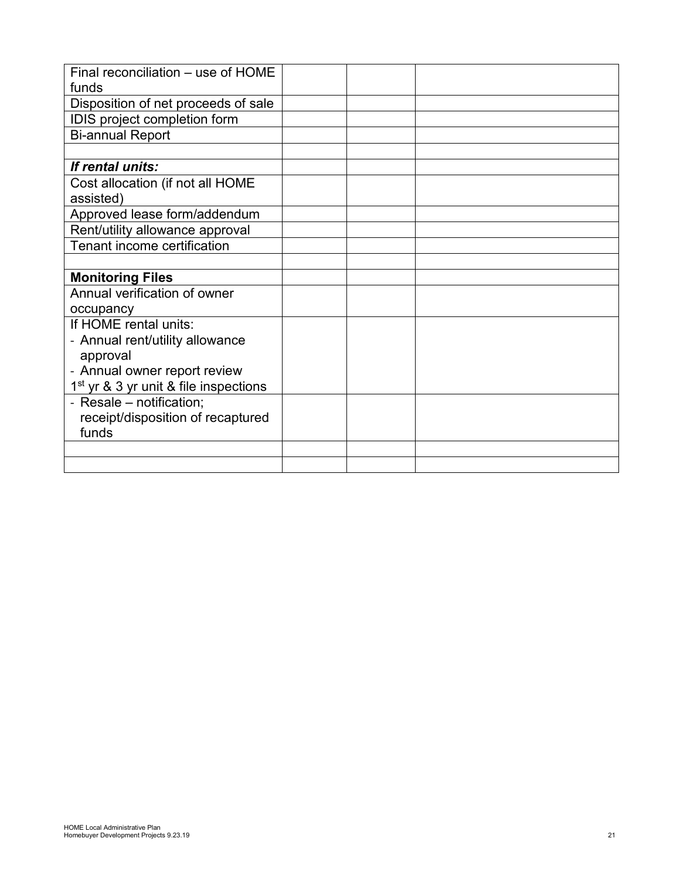| Final reconciliation - use of HOME                |  |  |
|---------------------------------------------------|--|--|
| funds                                             |  |  |
| Disposition of net proceeds of sale               |  |  |
| IDIS project completion form                      |  |  |
| <b>Bi-annual Report</b>                           |  |  |
|                                                   |  |  |
| If rental units:                                  |  |  |
| Cost allocation (if not all HOME                  |  |  |
| assisted)                                         |  |  |
| Approved lease form/addendum                      |  |  |
| Rent/utility allowance approval                   |  |  |
| Tenant income certification                       |  |  |
|                                                   |  |  |
| <b>Monitoring Files</b>                           |  |  |
| Annual verification of owner                      |  |  |
| occupancy                                         |  |  |
| If HOME rental units:                             |  |  |
| - Annual rent/utility allowance                   |  |  |
| approval                                          |  |  |
| - Annual owner report review                      |  |  |
| 1 <sup>st</sup> yr & 3 yr unit & file inspections |  |  |
| - Resale - notification;                          |  |  |
| receipt/disposition of recaptured                 |  |  |
| funds                                             |  |  |
|                                                   |  |  |
|                                                   |  |  |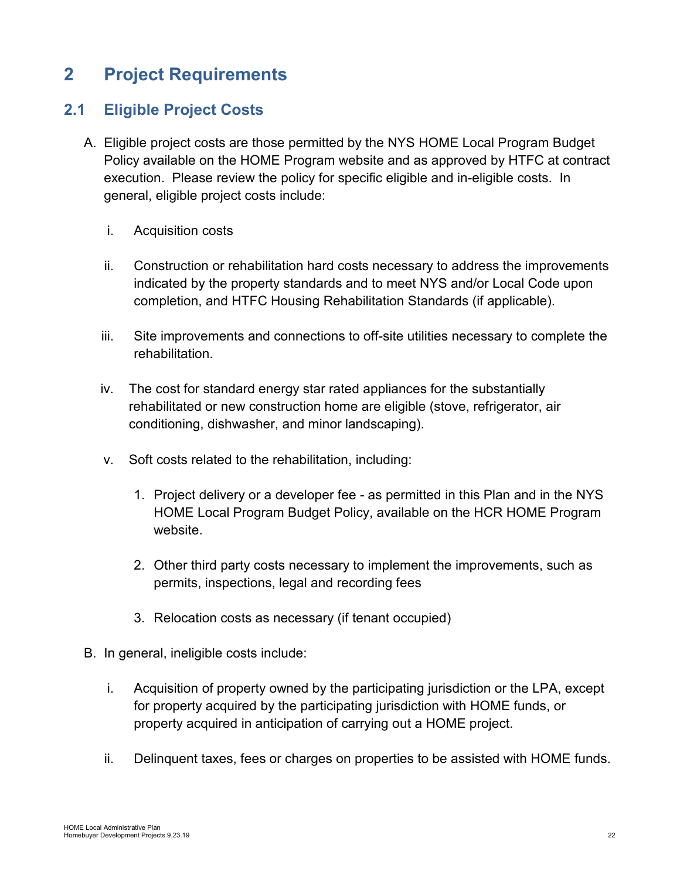# <span id="page-21-0"></span>**2 Project Requirements**

# <span id="page-21-1"></span>**2.1 Eligible Project Costs**

- A. Eligible project costs are those permitted by the NYS HOME Local Program Budget Policy available on the HOME Program website and as approved by HTFC at contract execution. Please review the policy for specific eligible and in-eligible costs. In general, eligible project costs include:
	- i. Acquisition costs
	- ii. Construction or rehabilitation hard costs necessary to address the improvements indicated by the property standards and to meet NYS and/or Local Code upon completion, and HTFC Housing Rehabilitation Standards (if applicable).
	- iii. Site improvements and connections to off-site utilities necessary to complete the rehabilitation.
	- iv. The cost for standard energy star rated appliances for the substantially rehabilitated or new construction home are eligible (stove, refrigerator, air conditioning, dishwasher, and minor landscaping).
	- v. Soft costs related to the rehabilitation, including:
		- 1. Project delivery or a developer fee as permitted in this Plan and in the NYS HOME Local Program Budget Policy, available on the HCR HOME Program website.
		- 2. Other third party costs necessary to implement the improvements, such as permits, inspections, legal and recording fees
		- 3. Relocation costs as necessary (if tenant occupied)
- B. In general, ineligible costs include:
	- i. Acquisition of property owned by the participating jurisdiction or the LPA, except for property acquired by the participating jurisdiction with HOME funds, or property acquired in anticipation of carrying out a HOME project.
	- ii. Delinquent taxes, fees or charges on properties to be assisted with HOME funds.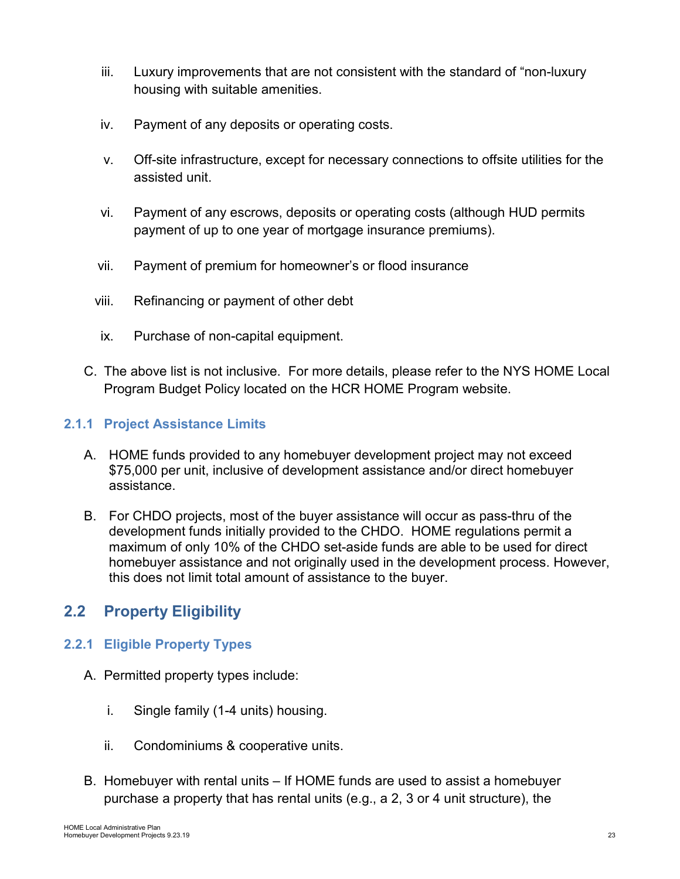- iii. Luxury improvements that are not consistent with the standard of "non-luxury housing with suitable amenities.
- iv. Payment of any deposits or operating costs.
- v. Off-site infrastructure, except for necessary connections to offsite utilities for the assisted unit.
- vi. Payment of any escrows, deposits or operating costs (although HUD permits payment of up to one year of mortgage insurance premiums).
- vii. Payment of premium for homeowner's or flood insurance
- viii. Refinancing or payment of other debt
- ix. Purchase of non-capital equipment.
- C. The above list is not inclusive. For more details, please refer to the NYS HOME Local Program Budget Policy located on the HCR HOME Program website.

## <span id="page-22-0"></span>**2.1.1 Project Assistance Limits**

- A. HOME funds provided to any homebuyer development project may not exceed \$75,000 per unit, inclusive of development assistance and/or direct homebuyer assistance.
- B. For CHDO projects, most of the buyer assistance will occur as pass-thru of the development funds initially provided to the CHDO. HOME regulations permit a maximum of only 10% of the CHDO set-aside funds are able to be used for direct homebuyer assistance and not originally used in the development process. However, this does not limit total amount of assistance to the buyer.

# <span id="page-22-1"></span>**2.2 Property Eligibility**

## <span id="page-22-2"></span>**2.2.1 Eligible Property Types**

- A. Permitted property types include:
	- i. Single family (1-4 units) housing.
	- ii. Condominiums & cooperative units.
- B. Homebuyer with rental units If HOME funds are used to assist a homebuyer purchase a property that has rental units (e.g., a 2, 3 or 4 unit structure), the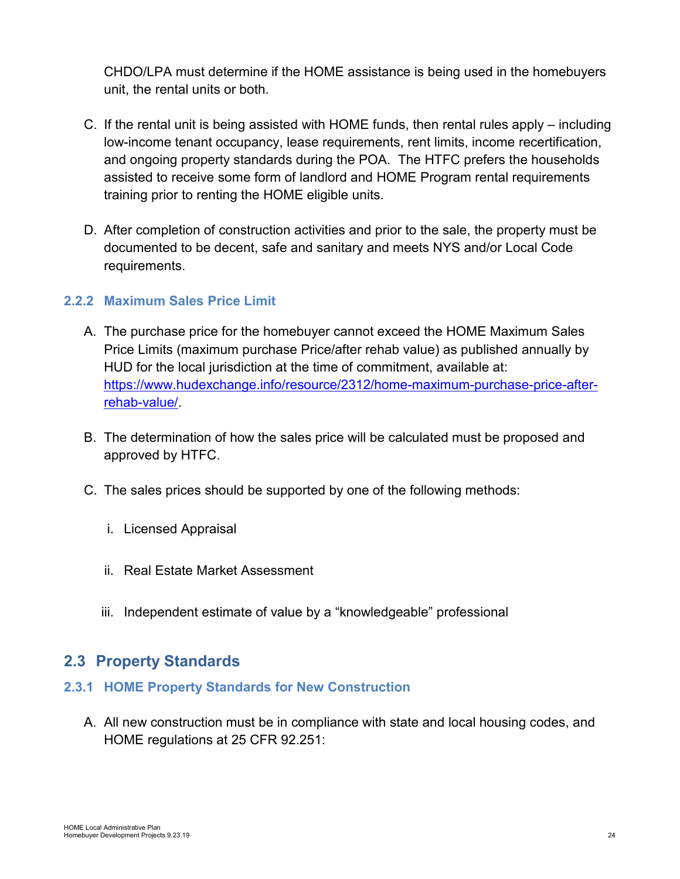CHDO/LPA must determine if the HOME assistance is being used in the homebuyers unit, the rental units or both.

- C. If the rental unit is being assisted with HOME funds, then rental rules apply including low-income tenant occupancy, lease requirements, rent limits, income recertification, and ongoing property standards during the POA. The HTFC prefers the households assisted to receive some form of landlord and HOME Program rental requirements training prior to renting the HOME eligible units.
- D. After completion of construction activities and prior to the sale, the property must be documented to be decent, safe and sanitary and meets NYS and/or Local Code requirements.

## <span id="page-23-0"></span>**2.2.2 Maximum Sales Price Limit**

- A. The purchase price for the homebuyer cannot exceed the HOME Maximum Sales Price Limits (maximum purchase Price/after rehab value) as published annually by HUD for the local jurisdiction at the time of commitment, available at: [https://www.hudexchange.info/resource/2312/home-maximum-purchase-price-after](https://www.hudexchange.info/resource/2312/home-maximum-purchase-price-after-rehab-value/)[rehab-value/.](https://www.hudexchange.info/resource/2312/home-maximum-purchase-price-after-rehab-value/)
- B. The determination of how the sales price will be calculated must be proposed and approved by HTFC.
- C. The sales prices should be supported by one of the following methods:
	- i. Licensed Appraisal
	- ii. Real Estate Market Assessment
	- iii. Independent estimate of value by a "knowledgeable" professional

# <span id="page-23-1"></span>**2.3 Property Standards**

#### <span id="page-23-2"></span>**2.3.1 HOME Property Standards for New Construction**

A. All new construction must be in compliance with state and local housing codes, and HOME regulations at 25 CFR 92.251: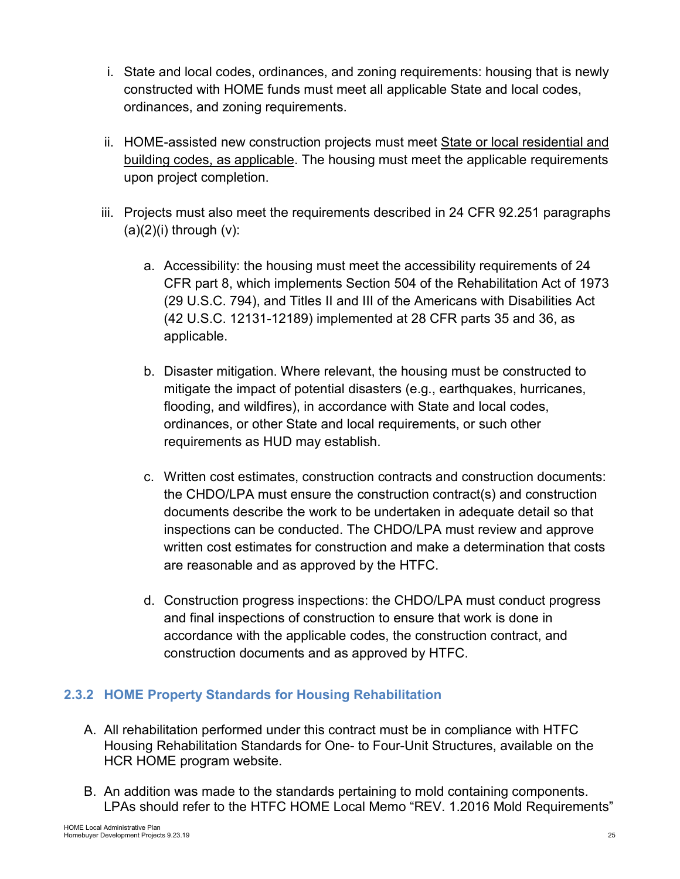- i. State and local codes, ordinances, and zoning requirements: housing that is newly constructed with HOME funds must meet all applicable State and local codes, ordinances, and zoning requirements.
- ii. HOME-assisted new construction projects must meet State or local residential and building codes, as applicable. The housing must meet the applicable requirements upon project completion.
- iii. Projects must also meet the requirements described in 24 CFR 92.251 paragraphs  $(a)(2)(i)$  through  $(v)$ :
	- a. Accessibility: the housing must meet the accessibility requirements of 24 CFR part 8, which implements Section 504 of the Rehabilitation Act of 1973 (29 U.S.C. 794), and Titles II and III of the Americans with Disabilities Act (42 U.S.C. 12131-12189) implemented at 28 CFR parts 35 and 36, as applicable.
	- b. Disaster mitigation. Where relevant, the housing must be constructed to mitigate the impact of potential disasters (e.g., earthquakes, hurricanes, flooding, and wildfires), in accordance with State and local codes, ordinances, or other State and local requirements, or such other requirements as HUD may establish.
	- c. Written cost estimates, construction contracts and construction documents: the CHDO/LPA must ensure the construction contract(s) and construction documents describe the work to be undertaken in adequate detail so that inspections can be conducted. The CHDO/LPA must review and approve written cost estimates for construction and make a determination that costs are reasonable and as approved by the HTFC.
	- d. Construction progress inspections: the CHDO/LPA must conduct progress and final inspections of construction to ensure that work is done in accordance with the applicable codes, the construction contract, and construction documents and as approved by HTFC.

# <span id="page-24-0"></span>**2.3.2 HOME Property Standards for Housing Rehabilitation**

- A. All rehabilitation performed under this contract must be in compliance with HTFC Housing Rehabilitation Standards for One- to Four-Unit Structures, available on the HCR HOME program website.
- B. An addition was made to the standards pertaining to mold containing components. LPAs should refer to the HTFC HOME Local Memo "REV. 1.2016 Mold Requirements"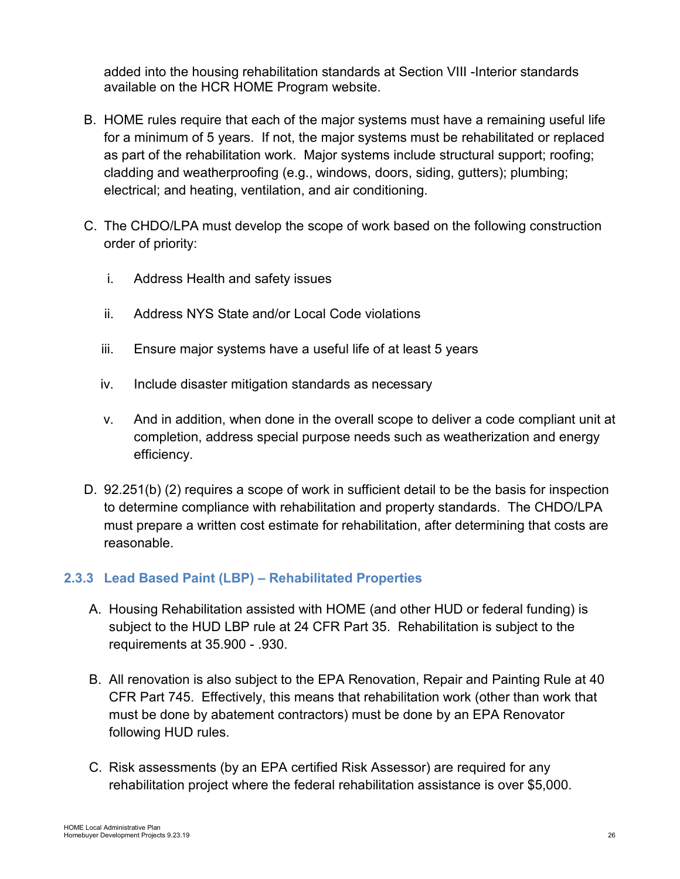added into the housing rehabilitation standards at Section VIII -Interior standards available on the HCR HOME Program website.

- B. HOME rules require that each of the major systems must have a remaining useful life for a minimum of 5 years. If not, the major systems must be rehabilitated or replaced as part of the rehabilitation work. Major systems include structural support; roofing; cladding and weatherproofing (e.g., windows, doors, siding, gutters); plumbing; electrical; and heating, ventilation, and air conditioning.
- C. The CHDO/LPA must develop the scope of work based on the following construction order of priority:
	- i. Address Health and safety issues
	- ii. Address NYS State and/or Local Code violations
	- iii. Ensure major systems have a useful life of at least 5 years
	- iv. Include disaster mitigation standards as necessary
	- v. And in addition, when done in the overall scope to deliver a code compliant unit at completion, address special purpose needs such as weatherization and energy efficiency.
- D. 92.251(b) (2) requires a scope of work in sufficient detail to be the basis for inspection to determine compliance with rehabilitation and property standards. The CHDO/LPA must prepare a written cost estimate for rehabilitation, after determining that costs are reasonable.

## <span id="page-25-0"></span>**2.3.3 Lead Based Paint (LBP) – Rehabilitated Properties**

- A. Housing Rehabilitation assisted with HOME (and other HUD or federal funding) is subject to the HUD LBP rule at 24 CFR Part 35. Rehabilitation is subject to the requirements at 35.900 - .930.
- B. All renovation is also subject to the EPA Renovation, Repair and Painting Rule at 40 CFR Part 745. Effectively, this means that rehabilitation work (other than work that must be done by abatement contractors) must be done by an EPA Renovator following HUD rules.
- C. Risk assessments (by an EPA certified Risk Assessor) are required for any rehabilitation project where the federal rehabilitation assistance is over \$5,000.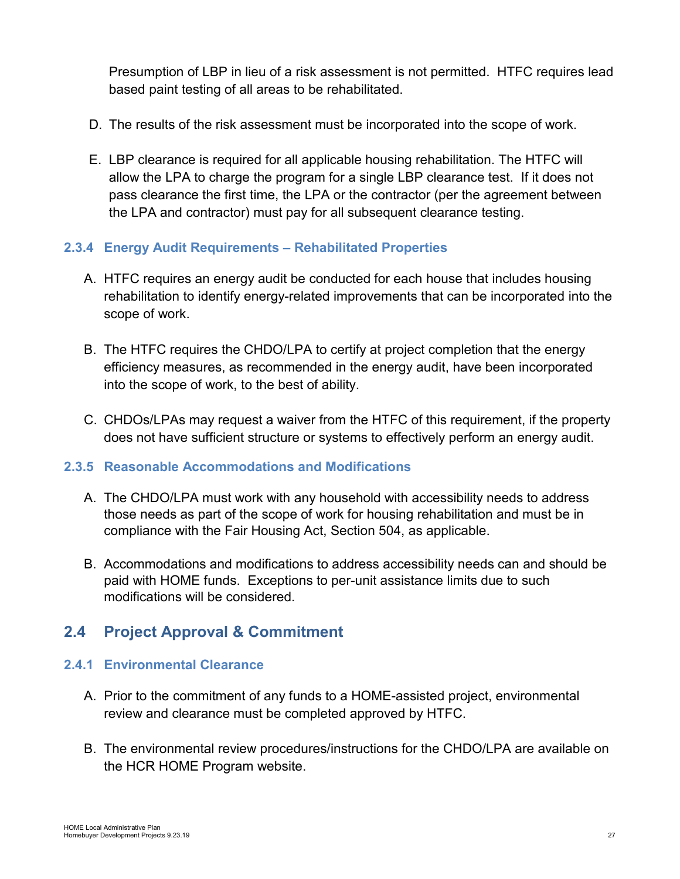Presumption of LBP in lieu of a risk assessment is not permitted. HTFC requires lead based paint testing of all areas to be rehabilitated.

- D. The results of the risk assessment must be incorporated into the scope of work.
- E. LBP clearance is required for all applicable housing rehabilitation. The HTFC will allow the LPA to charge the program for a single LBP clearance test. If it does not pass clearance the first time, the LPA or the contractor (per the agreement between the LPA and contractor) must pay for all subsequent clearance testing.

### <span id="page-26-0"></span>**2.3.4 Energy Audit Requirements – Rehabilitated Properties**

- A. HTFC requires an energy audit be conducted for each house that includes housing rehabilitation to identify energy-related improvements that can be incorporated into the scope of work.
- B. The HTFC requires the CHDO/LPA to certify at project completion that the energy efficiency measures, as recommended in the energy audit, have been incorporated into the scope of work, to the best of ability.
- C. CHDOs/LPAs may request a waiver from the HTFC of this requirement, if the property does not have sufficient structure or systems to effectively perform an energy audit.

## <span id="page-26-1"></span>**2.3.5 Reasonable Accommodations and Modifications**

- A. The CHDO/LPA must work with any household with accessibility needs to address those needs as part of the scope of work for housing rehabilitation and must be in compliance with the Fair Housing Act, Section 504, as applicable.
- B. Accommodations and modifications to address accessibility needs can and should be paid with HOME funds. Exceptions to per-unit assistance limits due to such modifications will be considered.

# <span id="page-26-2"></span>**2.4 Project Approval & Commitment**

## <span id="page-26-3"></span>**2.4.1 Environmental Clearance**

- A. Prior to the commitment of any funds to a HOME-assisted project, environmental review and clearance must be completed approved by HTFC.
- B. The environmental review procedures/instructions for the CHDO/LPA are available on the HCR HOME Program website.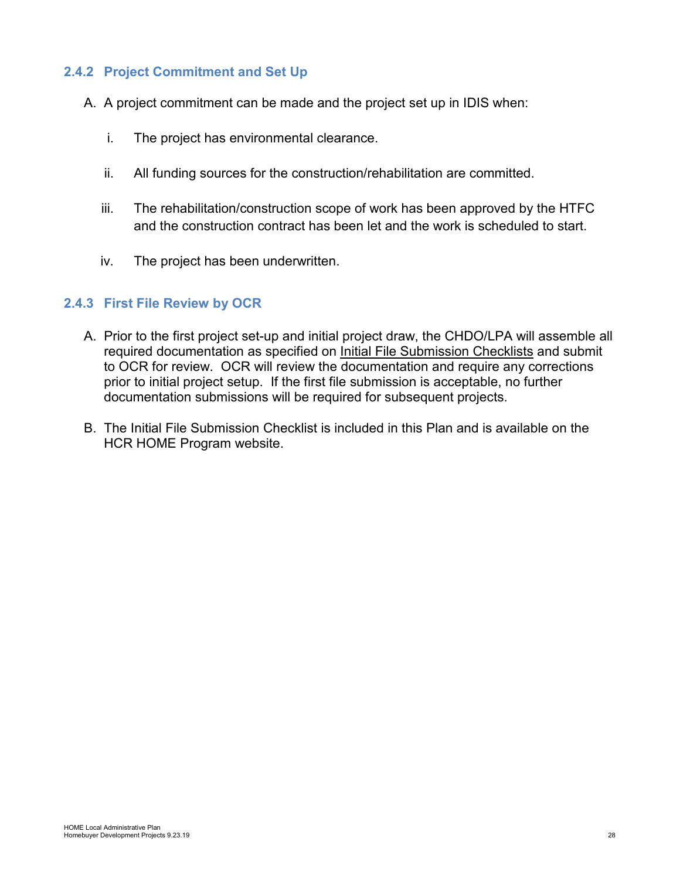### <span id="page-27-0"></span>**2.4.2 Project Commitment and Set Up**

- A. A project commitment can be made and the project set up in IDIS when:
	- i. The project has environmental clearance.
	- ii. All funding sources for the construction/rehabilitation are committed.
	- iii. The rehabilitation/construction scope of work has been approved by the HTFC and the construction contract has been let and the work is scheduled to start.
	- iv. The project has been underwritten.

#### <span id="page-27-1"></span>**2.4.3 First File Review by OCR**

- A. Prior to the first project set-up and initial project draw, the CHDO/LPA will assemble all required documentation as specified on *Initial File Submission Checklists* and submit to OCR for review. OCR will review the documentation and require any corrections prior to initial project setup. If the first file submission is acceptable, no further documentation submissions will be required for subsequent projects.
- B. The Initial File Submission Checklist is included in this Plan and is available on the HCR HOME Program website.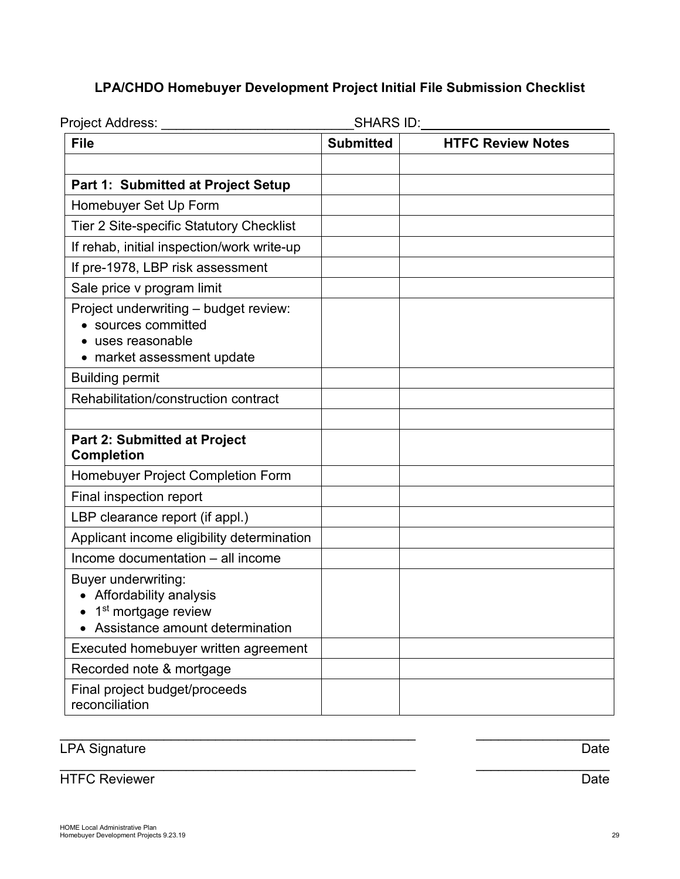# **LPA/CHDO Homebuyer Development Project Initial File Submission Checklist**

| Project Address: _____                                                                                                       | SHARS ID:        |                          |  |  |  |
|------------------------------------------------------------------------------------------------------------------------------|------------------|--------------------------|--|--|--|
| <b>File</b>                                                                                                                  | <b>Submitted</b> | <b>HTFC Review Notes</b> |  |  |  |
|                                                                                                                              |                  |                          |  |  |  |
| <b>Part 1: Submitted at Project Setup</b>                                                                                    |                  |                          |  |  |  |
| Homebuyer Set Up Form                                                                                                        |                  |                          |  |  |  |
| <b>Tier 2 Site-specific Statutory Checklist</b>                                                                              |                  |                          |  |  |  |
| If rehab, initial inspection/work write-up                                                                                   |                  |                          |  |  |  |
| If pre-1978, LBP risk assessment                                                                                             |                  |                          |  |  |  |
| Sale price v program limit                                                                                                   |                  |                          |  |  |  |
| Project underwriting - budget review:<br>• sources committed<br>• uses reasonable<br>• market assessment update              |                  |                          |  |  |  |
| <b>Building permit</b>                                                                                                       |                  |                          |  |  |  |
| Rehabilitation/construction contract                                                                                         |                  |                          |  |  |  |
| <b>Part 2: Submitted at Project</b><br><b>Completion</b>                                                                     |                  |                          |  |  |  |
| Homebuyer Project Completion Form                                                                                            |                  |                          |  |  |  |
| Final inspection report                                                                                                      |                  |                          |  |  |  |
| LBP clearance report (if appl.)                                                                                              |                  |                          |  |  |  |
| Applicant income eligibility determination                                                                                   |                  |                          |  |  |  |
| Income documentation - all income                                                                                            |                  |                          |  |  |  |
| <b>Buyer underwriting:</b><br>• Affordability analysis<br>1 <sup>st</sup> mortgage review<br>Assistance amount determination |                  |                          |  |  |  |
| Executed homebuyer written agreement                                                                                         |                  |                          |  |  |  |
| Recorded note & mortgage                                                                                                     |                  |                          |  |  |  |
| Final project budget/proceeds<br>reconciliation                                                                              |                  |                          |  |  |  |

\_\_\_\_\_\_\_\_\_\_\_\_\_\_\_\_\_\_\_\_\_\_\_\_\_\_\_\_\_\_\_\_\_\_\_\_\_\_\_\_\_\_\_\_\_\_\_\_ \_\_\_\_\_\_\_\_\_\_\_\_\_\_\_\_\_\_

#### \_\_\_\_\_\_\_\_\_\_\_\_\_\_\_\_\_\_\_\_\_\_\_\_\_\_\_\_\_\_\_\_\_\_\_\_\_\_\_\_\_\_\_\_\_\_\_\_ \_\_\_\_\_\_\_\_\_\_\_\_\_\_\_\_\_\_ LPA Signature Date

HTFC Reviewer Date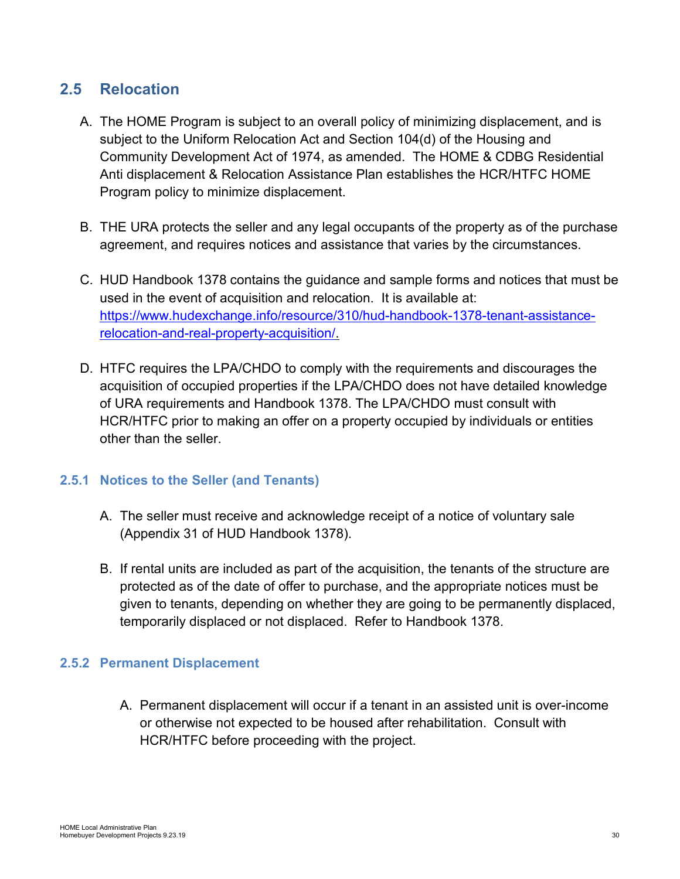# <span id="page-29-0"></span>**2.5 Relocation**

- A. The HOME Program is subject to an overall policy of minimizing displacement, and is subject to the Uniform Relocation Act and Section 104(d) of the Housing and Community Development Act of 1974, as amended. The HOME & CDBG Residential Anti displacement & Relocation Assistance Plan establishes the HCR/HTFC HOME Program policy to minimize displacement.
- B. THE URA protects the seller and any legal occupants of the property as of the purchase agreement, and requires notices and assistance that varies by the circumstances.
- C. HUD Handbook 1378 contains the guidance and sample forms and notices that must be used in the event of acquisition and relocation. It is available at: [https://www.hudexchange.info/resource/310/hud-handbook-1378-tenant-assistance](https://www.hudexchange.info/resource/310/hud-handbook-1378-tenant-assistance-relocation-and-real-property-acquisition/)[relocation-and-real-property-acquisition/.](https://www.hudexchange.info/resource/310/hud-handbook-1378-tenant-assistance-relocation-and-real-property-acquisition/)
- D. HTFC requires the LPA/CHDO to comply with the requirements and discourages the acquisition of occupied properties if the LPA/CHDO does not have detailed knowledge of URA requirements and Handbook 1378. The LPA/CHDO must consult with HCR/HTFC prior to making an offer on a property occupied by individuals or entities other than the seller.

#### <span id="page-29-1"></span>**2.5.1 Notices to the Seller (and Tenants)**

- A. The seller must receive and acknowledge receipt of a notice of voluntary sale (Appendix 31 of HUD Handbook 1378).
- B. If rental units are included as part of the acquisition, the tenants of the structure are protected as of the date of offer to purchase, and the appropriate notices must be given to tenants, depending on whether they are going to be permanently displaced, temporarily displaced or not displaced. Refer to Handbook 1378.

## <span id="page-29-2"></span>**2.5.2 Permanent Displacement**

A. Permanent displacement will occur if a tenant in an assisted unit is over-income or otherwise not expected to be housed after rehabilitation. Consult with HCR/HTFC before proceeding with the project.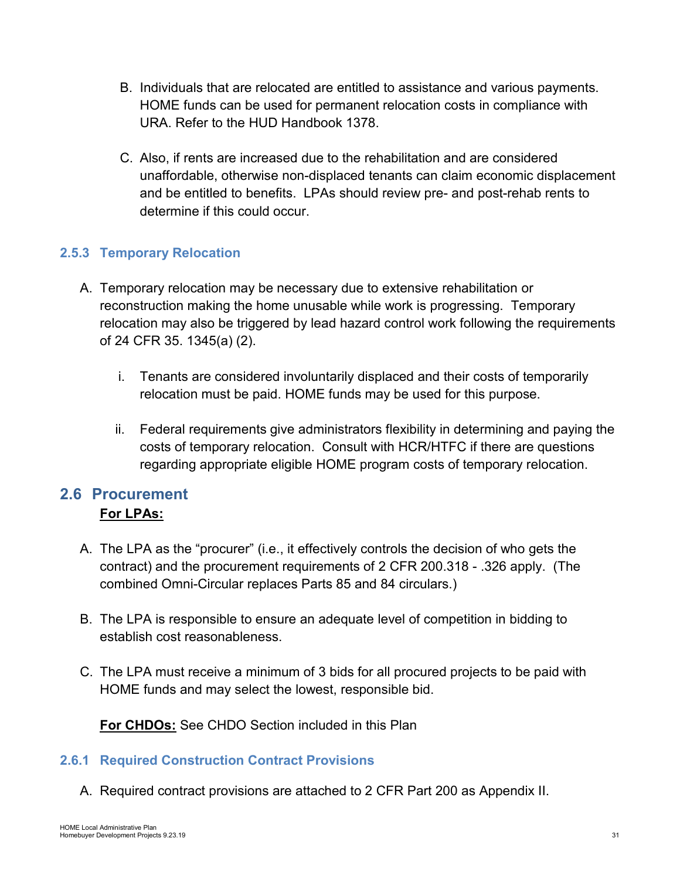- B. Individuals that are relocated are entitled to assistance and various payments. HOME funds can be used for permanent relocation costs in compliance with URA. Refer to the HUD Handbook 1378.
- C. Also, if rents are increased due to the rehabilitation and are considered unaffordable, otherwise non-displaced tenants can claim economic displacement and be entitled to benefits. LPAs should review pre- and post-rehab rents to determine if this could occur.

# <span id="page-30-0"></span>**2.5.3 Temporary Relocation**

- A. Temporary relocation may be necessary due to extensive rehabilitation or reconstruction making the home unusable while work is progressing. Temporary relocation may also be triggered by lead hazard control work following the requirements of 24 CFR 35. 1345(a) (2).
	- i. Tenants are considered involuntarily displaced and their costs of temporarily relocation must be paid. HOME funds may be used for this purpose.
	- ii. Federal requirements give administrators flexibility in determining and paying the costs of temporary relocation. Consult with HCR/HTFC if there are questions regarding appropriate eligible HOME program costs of temporary relocation.

# <span id="page-30-1"></span>**2.6 Procurement For LPAs:**

- A. The LPA as the "procurer" (i.e., it effectively controls the decision of who gets the contract) and the procurement requirements of 2 CFR 200.318 - .326 apply. (The combined Omni-Circular replaces Parts 85 and 84 circulars.)
- B. The LPA is responsible to ensure an adequate level of competition in bidding to establish cost reasonableness.
- C. The LPA must receive a minimum of 3 bids for all procured projects to be paid with HOME funds and may select the lowest, responsible bid.

**For CHDOs:** See CHDO Section included in this Plan

## <span id="page-30-2"></span>**2.6.1 Required Construction Contract Provisions**

A. Required contract provisions are attached to 2 CFR Part 200 as Appendix II.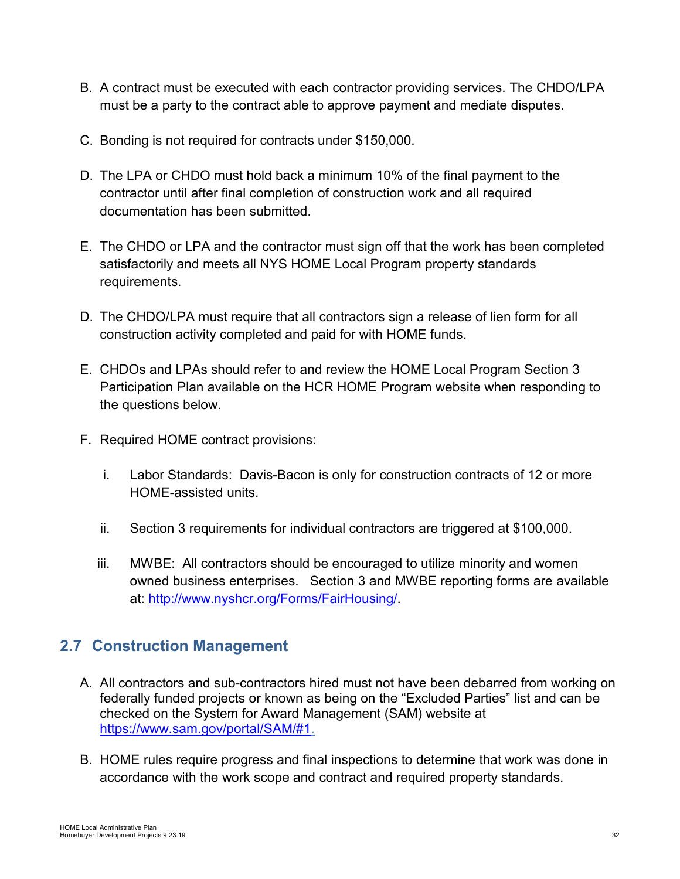- B. A contract must be executed with each contractor providing services. The CHDO/LPA must be a party to the contract able to approve payment and mediate disputes.
- C. Bonding is not required for contracts under \$150,000.
- D. The LPA or CHDO must hold back a minimum 10% of the final payment to the contractor until after final completion of construction work and all required documentation has been submitted.
- E. The CHDO or LPA and the contractor must sign off that the work has been completed satisfactorily and meets all NYS HOME Local Program property standards requirements.
- D. The CHDO/LPA must require that all contractors sign a release of lien form for all construction activity completed and paid for with HOME funds.
- E. CHDOs and LPAs should refer to and review the HOME Local Program Section 3 Participation Plan available on the HCR HOME Program website when responding to the questions below.
- F. Required HOME contract provisions:
	- i. Labor Standards: Davis-Bacon is only for construction contracts of 12 or more HOME-assisted units.
	- ii. Section 3 requirements for individual contractors are triggered at \$100,000.
	- iii. MWBE: All contractors should be encouraged to utilize minority and women owned business enterprises. Section 3 and MWBE reporting forms are available at: [http://www.nyshcr.org/Forms/FairHousing/.](http://www.nyshcr.org/Forms/FairHousing/)

# <span id="page-31-0"></span>**2.7 Construction Management**

- A. All contractors and sub-contractors hired must not have been debarred from working on federally funded projects or known as being on the "Excluded Parties" list and can be checked on the System for Award Management (SAM) website at [https://www.sam.gov/portal/SAM/#1.](https://www.sam.gov/portal/SAM/#1)
- B. HOME rules require progress and final inspections to determine that work was done in accordance with the work scope and contract and required property standards.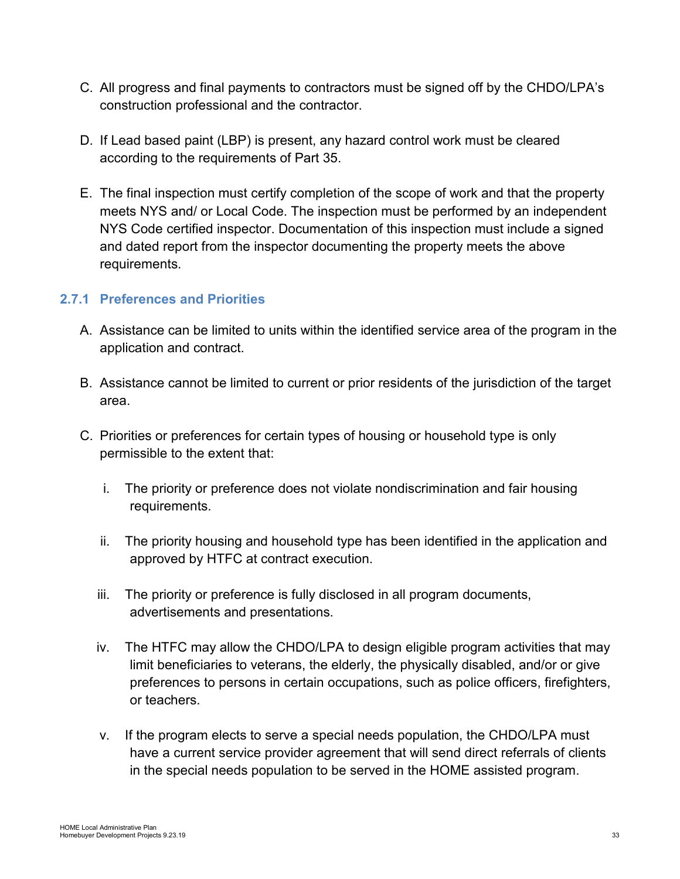- C. All progress and final payments to contractors must be signed off by the CHDO/LPA's construction professional and the contractor.
- D. If Lead based paint (LBP) is present, any hazard control work must be cleared according to the requirements of Part 35.
- E. The final inspection must certify completion of the scope of work and that the property meets NYS and/ or Local Code. The inspection must be performed by an independent NYS Code certified inspector. Documentation of this inspection must include a signed and dated report from the inspector documenting the property meets the above requirements.

### <span id="page-32-0"></span>**2.7.1 Preferences and Priorities**

- A. Assistance can be limited to units within the identified service area of the program in the application and contract.
- B. Assistance cannot be limited to current or prior residents of the jurisdiction of the target area.
- C. Priorities or preferences for certain types of housing or household type is only permissible to the extent that:
	- i. The priority or preference does not violate nondiscrimination and fair housing requirements.
	- ii. The priority housing and household type has been identified in the application and approved by HTFC at contract execution.
	- iii. The priority or preference is fully disclosed in all program documents, advertisements and presentations.
	- iv. The HTFC may allow the CHDO/LPA to design eligible program activities that may limit beneficiaries to veterans, the elderly, the physically disabled, and/or or give preferences to persons in certain occupations, such as police officers, firefighters, or teachers.
	- v. If the program elects to serve a special needs population, the CHDO/LPA must have a current service provider agreement that will send direct referrals of clients in the special needs population to be served in the HOME assisted program.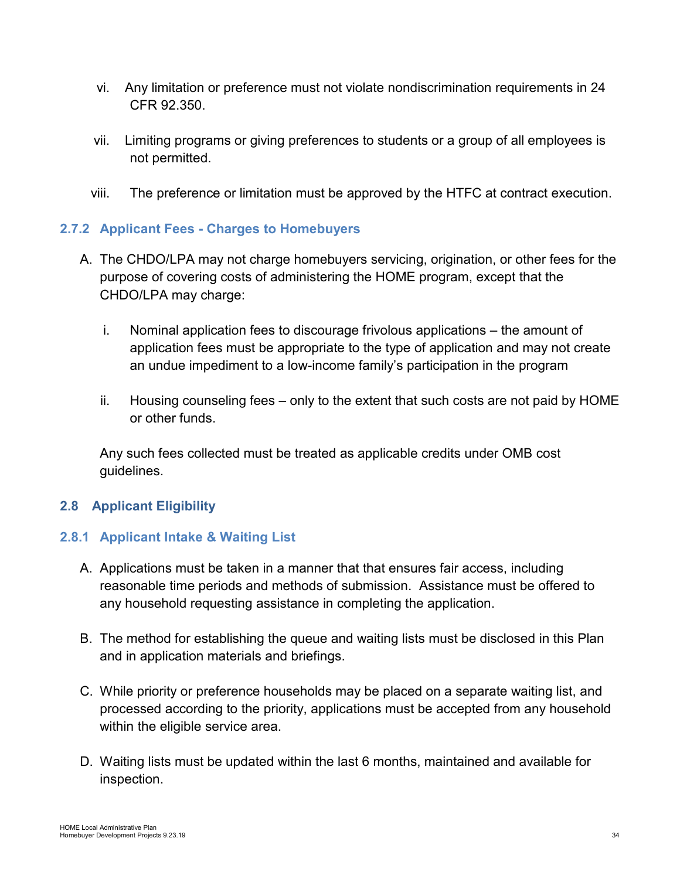- vi. Any limitation or preference must not violate nondiscrimination requirements in 24 CFR 92.350.
- vii. Limiting programs or giving preferences to students or a group of all employees is not permitted.
- viii. The preference or limitation must be approved by the HTFC at contract execution.

# <span id="page-33-0"></span>**2.7.2 Applicant Fees - Charges to Homebuyers**

- A. The CHDO/LPA may not charge homebuyers servicing, origination, or other fees for the purpose of covering costs of administering the HOME program, except that the CHDO/LPA may charge:
	- i. Nominal application fees to discourage frivolous applications the amount of application fees must be appropriate to the type of application and may not create an undue impediment to a low-income family's participation in the program
	- ii. Housing counseling fees only to the extent that such costs are not paid by HOME or other funds.

Any such fees collected must be treated as applicable credits under OMB cost guidelines.

## <span id="page-33-1"></span>**2.8 Applicant Eligibility**

## <span id="page-33-2"></span>**2.8.1 Applicant Intake & Waiting List**

- A. Applications must be taken in a manner that that ensures fair access, including reasonable time periods and methods of submission. Assistance must be offered to any household requesting assistance in completing the application.
- B. The method for establishing the queue and waiting lists must be disclosed in this Plan and in application materials and briefings.
- C. While priority or preference households may be placed on a separate waiting list, and processed according to the priority, applications must be accepted from any household within the eligible service area.
- D. Waiting lists must be updated within the last 6 months, maintained and available for inspection.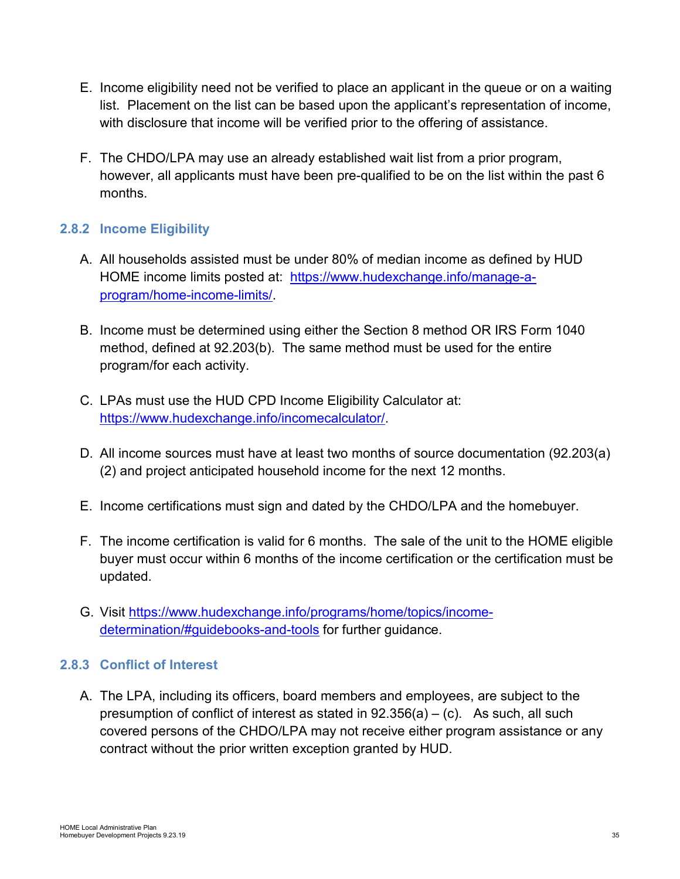- E. Income eligibility need not be verified to place an applicant in the queue or on a waiting list. Placement on the list can be based upon the applicant's representation of income, with disclosure that income will be verified prior to the offering of assistance.
- F. The CHDO/LPA may use an already established wait list from a prior program, however, all applicants must have been pre-qualified to be on the list within the past 6 months.

# <span id="page-34-0"></span>**2.8.2 Income Eligibility**

- A. All households assisted must be under 80% of median income as defined by HUD HOME income limits posted at: [https://www.hudexchange.info/manage-a](https://www.hudexchange.info/manage-a-program/home-income-limits/)[program/home-income-limits/.](https://www.hudexchange.info/manage-a-program/home-income-limits/)
- B. Income must be determined using either the Section 8 method OR IRS Form 1040 method, defined at 92.203(b). The same method must be used for the entire program/for each activity.
- C. LPAs must use the HUD CPD Income Eligibility Calculator at: [https://www.hudexchange.info/incomecalculator/.](https://www.hudexchange.info/incomecalculator/)
- D. All income sources must have at least two months of source documentation (92.203(a) (2) and project anticipated household income for the next 12 months.
- E. Income certifications must sign and dated by the CHDO/LPA and the homebuyer.
- F. The income certification is valid for 6 months. The sale of the unit to the HOME eligible buyer must occur within 6 months of the income certification or the certification must be updated.
- G. Visit [https://www.hudexchange.info/programs/home/topics/income](https://www.hudexchange.info/programs/home/topics/income-determination/#guidebooks-and-tools)[determination/#guidebooks-and-tools](https://www.hudexchange.info/programs/home/topics/income-determination/#guidebooks-and-tools) for further guidance.

## <span id="page-34-1"></span>**2.8.3 Conflict of Interest**

A. The LPA, including its officers, board members and employees, are subject to the presumption of conflict of interest as stated in  $92.356(a) - (c)$ . As such, all such covered persons of the CHDO/LPA may not receive either program assistance or any contract without the prior written exception granted by HUD.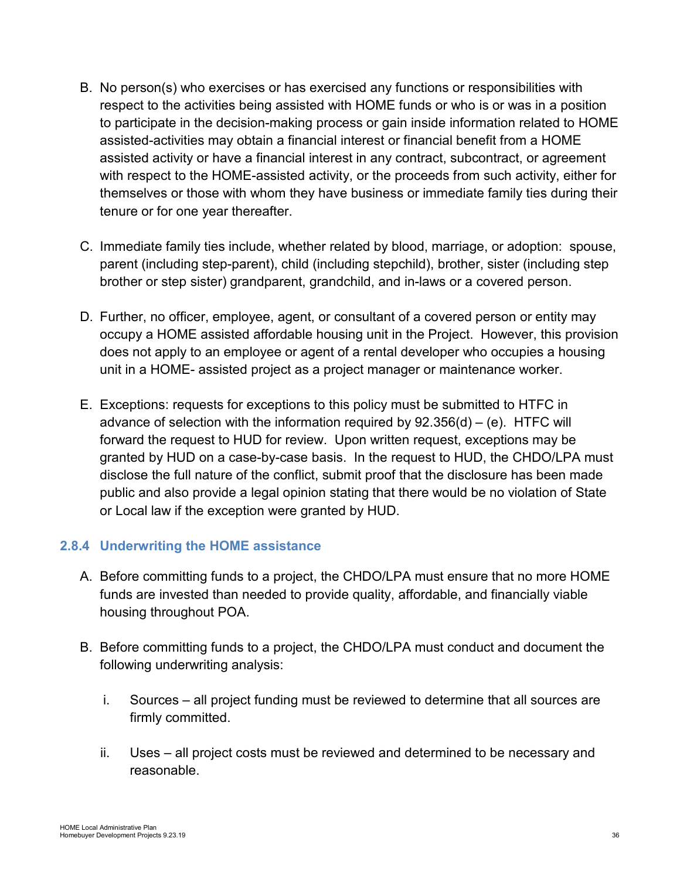- B. No person(s) who exercises or has exercised any functions or responsibilities with respect to the activities being assisted with HOME funds or who is or was in a position to participate in the decision-making process or gain inside information related to HOME assisted-activities may obtain a financial interest or financial benefit from a HOME assisted activity or have a financial interest in any contract, subcontract, or agreement with respect to the HOME-assisted activity, or the proceeds from such activity, either for themselves or those with whom they have business or immediate family ties during their tenure or for one year thereafter.
- C. Immediate family ties include, whether related by blood, marriage, or adoption: spouse, parent (including step-parent), child (including stepchild), brother, sister (including step brother or step sister) grandparent, grandchild, and in-laws or a covered person.
- D. Further, no officer, employee, agent, or consultant of a covered person or entity may occupy a HOME assisted affordable housing unit in the Project. However, this provision does not apply to an employee or agent of a rental developer who occupies a housing unit in a HOME- assisted project as a project manager or maintenance worker.
- E. Exceptions: requests for exceptions to this policy must be submitted to HTFC in advance of selection with the information required by  $92.356(d) - (e)$ . HTFC will forward the request to HUD for review. Upon written request, exceptions may be granted by HUD on a case-by-case basis. In the request to HUD, the CHDO/LPA must disclose the full nature of the conflict, submit proof that the disclosure has been made public and also provide a legal opinion stating that there would be no violation of State or Local law if the exception were granted by HUD.

## <span id="page-35-0"></span>**2.8.4 Underwriting the HOME assistance**

- A. Before committing funds to a project, the CHDO/LPA must ensure that no more HOME funds are invested than needed to provide quality, affordable, and financially viable housing throughout POA.
- B. Before committing funds to a project, the CHDO/LPA must conduct and document the following underwriting analysis:
	- i. Sources all project funding must be reviewed to determine that all sources are firmly committed.
	- ii. Uses all project costs must be reviewed and determined to be necessary and reasonable.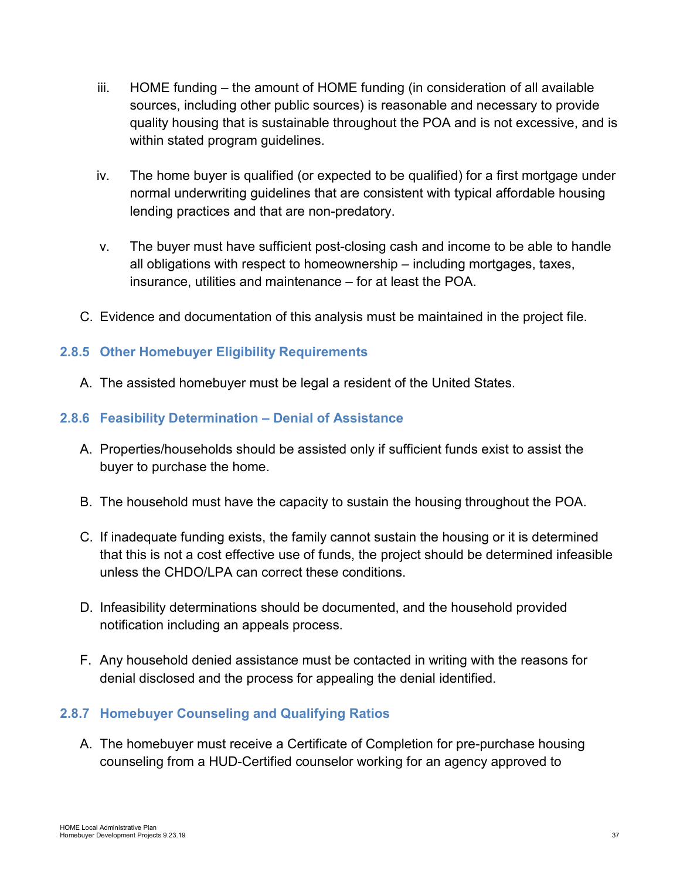- iii. HOME funding the amount of HOME funding (in consideration of all available sources, including other public sources) is reasonable and necessary to provide quality housing that is sustainable throughout the POA and is not excessive, and is within stated program guidelines.
- iv. The home buyer is qualified (or expected to be qualified) for a first mortgage under normal underwriting guidelines that are consistent with typical affordable housing lending practices and that are non-predatory.
- v. The buyer must have sufficient post-closing cash and income to be able to handle all obligations with respect to homeownership – including mortgages, taxes, insurance, utilities and maintenance – for at least the POA.
- C. Evidence and documentation of this analysis must be maintained in the project file.

## <span id="page-36-0"></span>**2.8.5 Other Homebuyer Eligibility Requirements**

A. The assisted homebuyer must be legal a resident of the United States.

### <span id="page-36-1"></span>**2.8.6 Feasibility Determination – Denial of Assistance**

- A. Properties/households should be assisted only if sufficient funds exist to assist the buyer to purchase the home.
- B. The household must have the capacity to sustain the housing throughout the POA.
- C. If inadequate funding exists, the family cannot sustain the housing or it is determined that this is not a cost effective use of funds, the project should be determined infeasible unless the CHDO/LPA can correct these conditions.
- D. Infeasibility determinations should be documented, and the household provided notification including an appeals process.
- F. Any household denied assistance must be contacted in writing with the reasons for denial disclosed and the process for appealing the denial identified.

## <span id="page-36-2"></span>**2.8.7 Homebuyer Counseling and Qualifying Ratios**

A. The homebuyer must receive a Certificate of Completion for pre-purchase housing counseling from a HUD-Certified counselor working for an agency approved to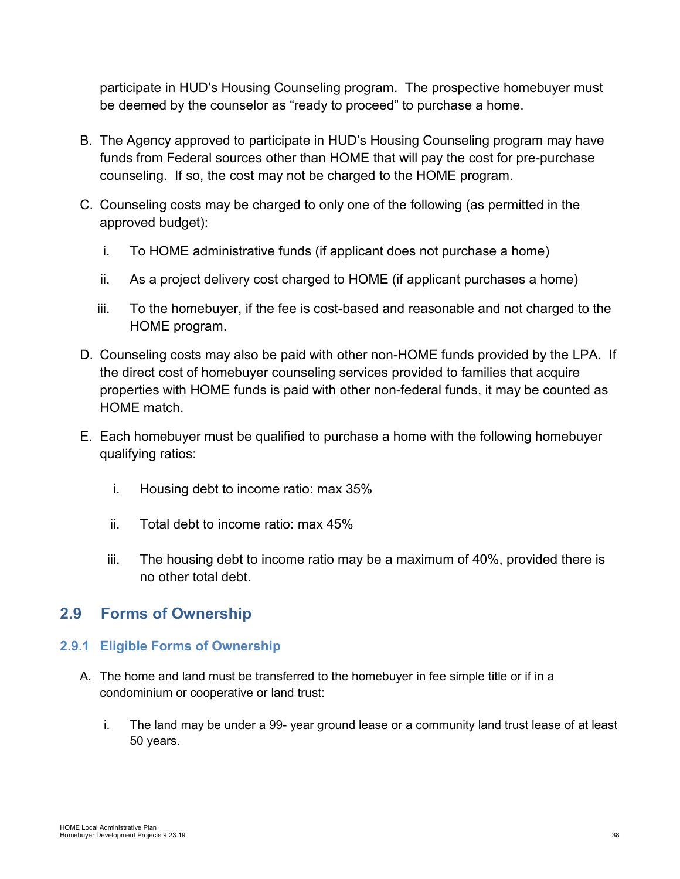participate in HUD's Housing Counseling program. The prospective homebuyer must be deemed by the counselor as "ready to proceed" to purchase a home.

- B. The Agency approved to participate in HUD's Housing Counseling program may have funds from Federal sources other than HOME that will pay the cost for pre-purchase counseling. If so, the cost may not be charged to the HOME program.
- C. Counseling costs may be charged to only one of the following (as permitted in the approved budget):
	- i. To HOME administrative funds (if applicant does not purchase a home)
	- ii. As a project delivery cost charged to HOME (if applicant purchases a home)
	- iii. To the homebuyer, if the fee is cost-based and reasonable and not charged to the HOME program.
- D. Counseling costs may also be paid with other non-HOME funds provided by the LPA. If the direct cost of homebuyer counseling services provided to families that acquire properties with HOME funds is paid with other non-federal funds, it may be counted as HOME match.
- E. Each homebuyer must be qualified to purchase a home with the following homebuyer qualifying ratios:
	- i. Housing debt to income ratio: max 35%
	- ii. Total debt to income ratio: max 45%
	- iii. The housing debt to income ratio may be a maximum of 40%, provided there is no other total debt.

# <span id="page-37-0"></span>**2.9 Forms of Ownership**

#### <span id="page-37-1"></span>**2.9.1 Eligible Forms of Ownership**

- A. The home and land must be transferred to the homebuyer in fee simple title or if in a condominium or cooperative or land trust:
	- i. The land may be under a 99- year ground lease or a community land trust lease of at least 50 years.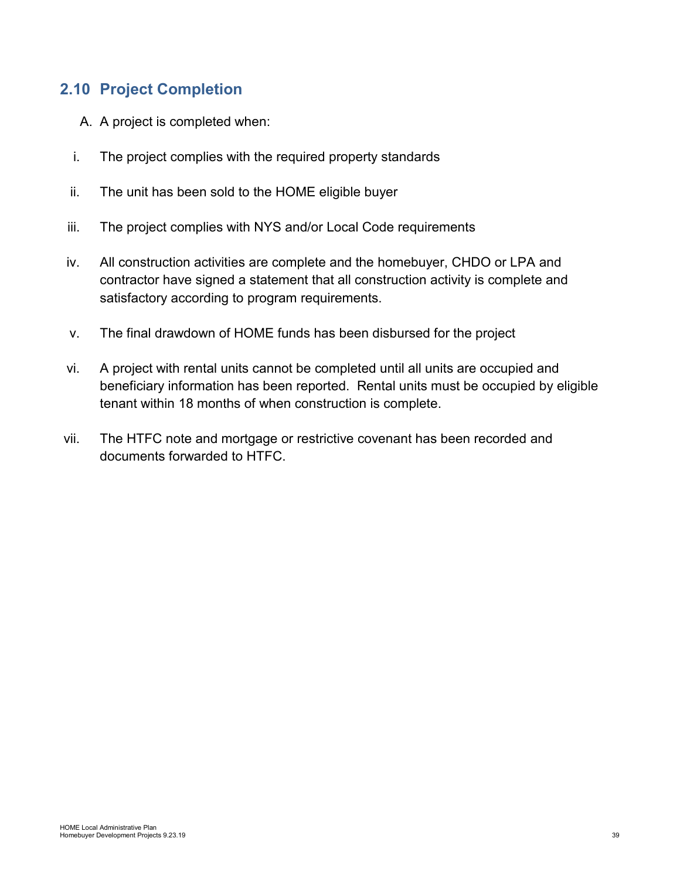# <span id="page-38-0"></span>**2.10 Project Completion**

- A. A project is completed when:
- i. The project complies with the required property standards
- ii. The unit has been sold to the HOME eligible buyer
- iii. The project complies with NYS and/or Local Code requirements
- iv. All construction activities are complete and the homebuyer, CHDO or LPA and contractor have signed a statement that all construction activity is complete and satisfactory according to program requirements.
- v. The final drawdown of HOME funds has been disbursed for the project
- vi. A project with rental units cannot be completed until all units are occupied and beneficiary information has been reported. Rental units must be occupied by eligible tenant within 18 months of when construction is complete.
- vii. The HTFC note and mortgage or restrictive covenant has been recorded and documents forwarded to HTFC.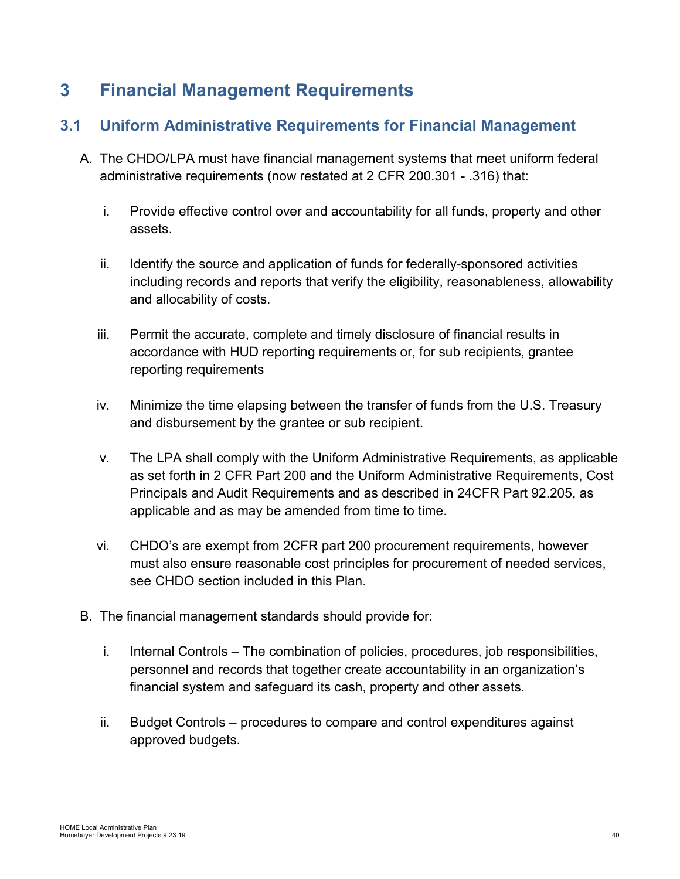# <span id="page-39-0"></span>**3 Financial Management Requirements**

# <span id="page-39-1"></span>**3.1 Uniform Administrative Requirements for Financial Management**

- A. The CHDO/LPA must have financial management systems that meet uniform federal administrative requirements (now restated at 2 CFR 200.301 - .316) that:
	- i. Provide effective control over and accountability for all funds, property and other assets.
	- ii. Identify the source and application of funds for federally-sponsored activities including records and reports that verify the eligibility, reasonableness, allowability and allocability of costs.
	- iii. Permit the accurate, complete and timely disclosure of financial results in accordance with HUD reporting requirements or, for sub recipients, grantee reporting requirements
	- iv. Minimize the time elapsing between the transfer of funds from the U.S. Treasury and disbursement by the grantee or sub recipient.
	- v. The LPA shall comply with the Uniform Administrative Requirements, as applicable as set forth in 2 CFR Part 200 and the Uniform Administrative Requirements, Cost Principals and Audit Requirements and as described in 24CFR Part 92.205, as applicable and as may be amended from time to time.
	- vi. CHDO's are exempt from 2CFR part 200 procurement requirements, however must also ensure reasonable cost principles for procurement of needed services, see CHDO section included in this Plan.
- B. The financial management standards should provide for:
	- i. Internal Controls The combination of policies, procedures, job responsibilities, personnel and records that together create accountability in an organization's financial system and safeguard its cash, property and other assets.
	- ii. Budget Controls procedures to compare and control expenditures against approved budgets.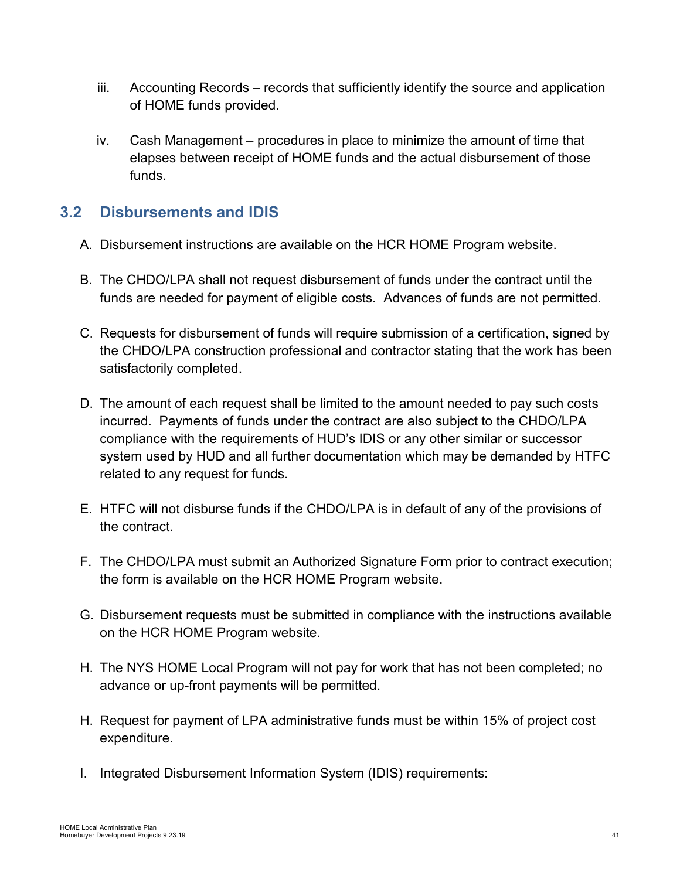- iii. Accounting Records records that sufficiently identify the source and application of HOME funds provided.
- iv. Cash Management procedures in place to minimize the amount of time that elapses between receipt of HOME funds and the actual disbursement of those funds.

# <span id="page-40-0"></span>**3.2 Disbursements and IDIS**

- A. Disbursement instructions are available on the HCR HOME Program website.
- B. The CHDO/LPA shall not request disbursement of funds under the contract until the funds are needed for payment of eligible costs. Advances of funds are not permitted.
- C. Requests for disbursement of funds will require submission of a certification, signed by the CHDO/LPA construction professional and contractor stating that the work has been satisfactorily completed.
- D. The amount of each request shall be limited to the amount needed to pay such costs incurred. Payments of funds under the contract are also subject to the CHDO/LPA compliance with the requirements of HUD's IDIS or any other similar or successor system used by HUD and all further documentation which may be demanded by HTFC related to any request for funds.
- E. HTFC will not disburse funds if the CHDO/LPA is in default of any of the provisions of the contract.
- F. The CHDO/LPA must submit an Authorized Signature Form prior to contract execution; the form is available on the HCR HOME Program website.
- G. Disbursement requests must be submitted in compliance with the instructions available on the HCR HOME Program website.
- H. The NYS HOME Local Program will not pay for work that has not been completed; no advance or up-front payments will be permitted.
- H. Request for payment of LPA administrative funds must be within 15% of project cost expenditure.
- I. Integrated Disbursement Information System (IDIS) requirements: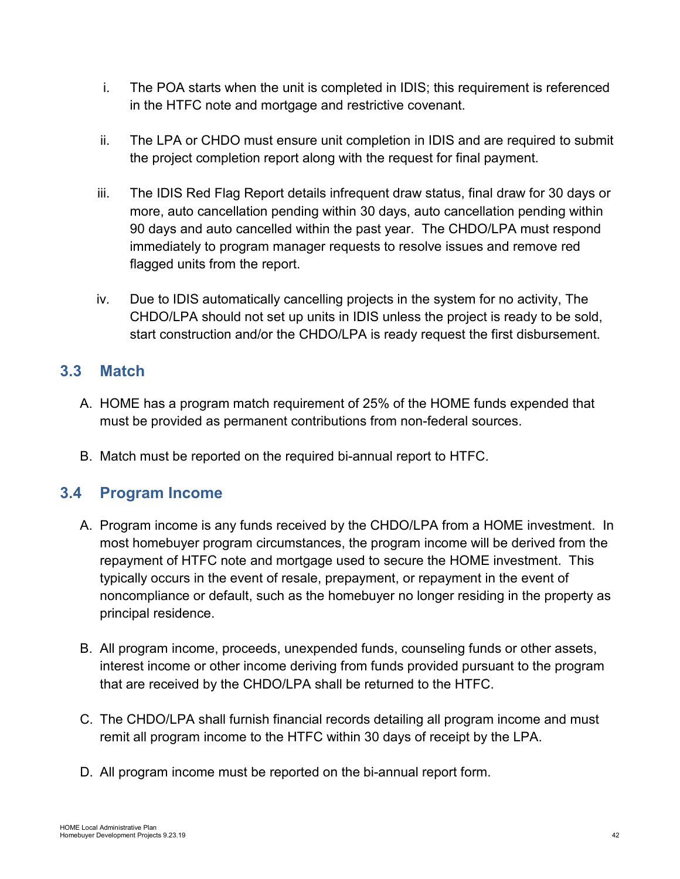- i. The POA starts when the unit is completed in IDIS; this requirement is referenced in the HTFC note and mortgage and restrictive covenant.
- ii. The LPA or CHDO must ensure unit completion in IDIS and are required to submit the project completion report along with the request for final payment.
- iii. The IDIS Red Flag Report details infrequent draw status, final draw for 30 days or more, auto cancellation pending within 30 days, auto cancellation pending within 90 days and auto cancelled within the past year. The CHDO/LPA must respond immediately to program manager requests to resolve issues and remove red flagged units from the report.
- iv. Due to IDIS automatically cancelling projects in the system for no activity, The CHDO/LPA should not set up units in IDIS unless the project is ready to be sold, start construction and/or the CHDO/LPA is ready request the first disbursement.

# <span id="page-41-0"></span>**3.3 Match**

- A. HOME has a program match requirement of 25% of the HOME funds expended that must be provided as permanent contributions from non-federal sources.
- B. Match must be reported on the required bi-annual report to HTFC.

# <span id="page-41-1"></span>**3.4 Program Income**

- A. Program income is any funds received by the CHDO/LPA from a HOME investment. In most homebuyer program circumstances, the program income will be derived from the repayment of HTFC note and mortgage used to secure the HOME investment. This typically occurs in the event of resale, prepayment, or repayment in the event of noncompliance or default, such as the homebuyer no longer residing in the property as principal residence.
- B. All program income, proceeds, unexpended funds, counseling funds or other assets, interest income or other income deriving from funds provided pursuant to the program that are received by the CHDO/LPA shall be returned to the HTFC.
- C. The CHDO/LPA shall furnish financial records detailing all program income and must remit all program income to the HTFC within 30 days of receipt by the LPA.
- D. All program income must be reported on the bi-annual report form.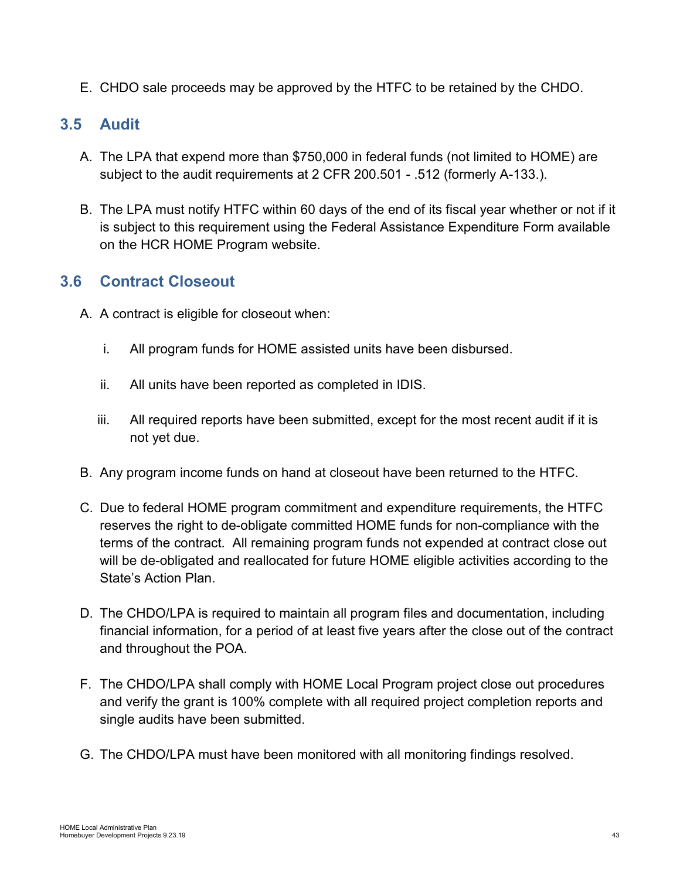E. CHDO sale proceeds may be approved by the HTFC to be retained by the CHDO.

# <span id="page-42-0"></span>**3.5 Audit**

- A. The LPA that expend more than \$750,000 in federal funds (not limited to HOME) are subject to the audit requirements at 2 CFR 200.501 - .512 (formerly A-133.).
- B. The LPA must notify HTFC within 60 days of the end of its fiscal year whether or not if it is subject to this requirement using the Federal Assistance Expenditure Form available on the HCR HOME Program website.

# <span id="page-42-1"></span>**3.6 Contract Closeout**

- A. A contract is eligible for closeout when:
	- i. All program funds for HOME assisted units have been disbursed.
	- ii. All units have been reported as completed in IDIS.
	- iii. All required reports have been submitted, except for the most recent audit if it is not yet due.
- B. Any program income funds on hand at closeout have been returned to the HTFC.
- C. Due to federal HOME program commitment and expenditure requirements, the HTFC reserves the right to de-obligate committed HOME funds for non-compliance with the terms of the contract. All remaining program funds not expended at contract close out will be de-obligated and reallocated for future HOME eligible activities according to the State's Action Plan.
- D. The CHDO/LPA is required to maintain all program files and documentation, including financial information, for a period of at least five years after the close out of the contract and throughout the POA.
- F. The CHDO/LPA shall comply with HOME Local Program project close out procedures and verify the grant is 100% complete with all required project completion reports and single audits have been submitted.
- G. The CHDO/LPA must have been monitored with all monitoring findings resolved.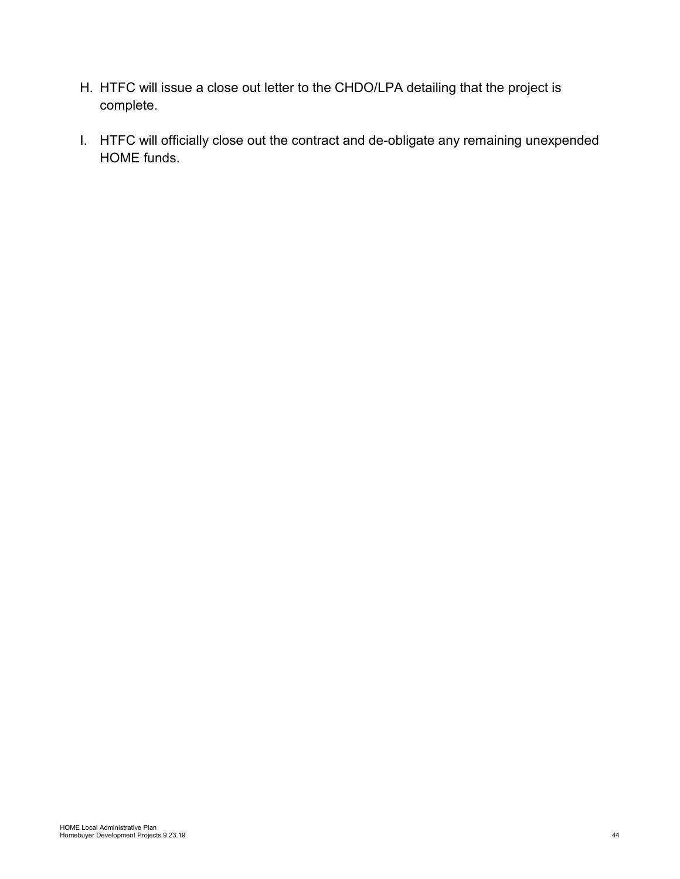- H. HTFC will issue a close out letter to the CHDO/LPA detailing that the project is complete.
- I. HTFC will officially close out the contract and de-obligate any remaining unexpended HOME funds.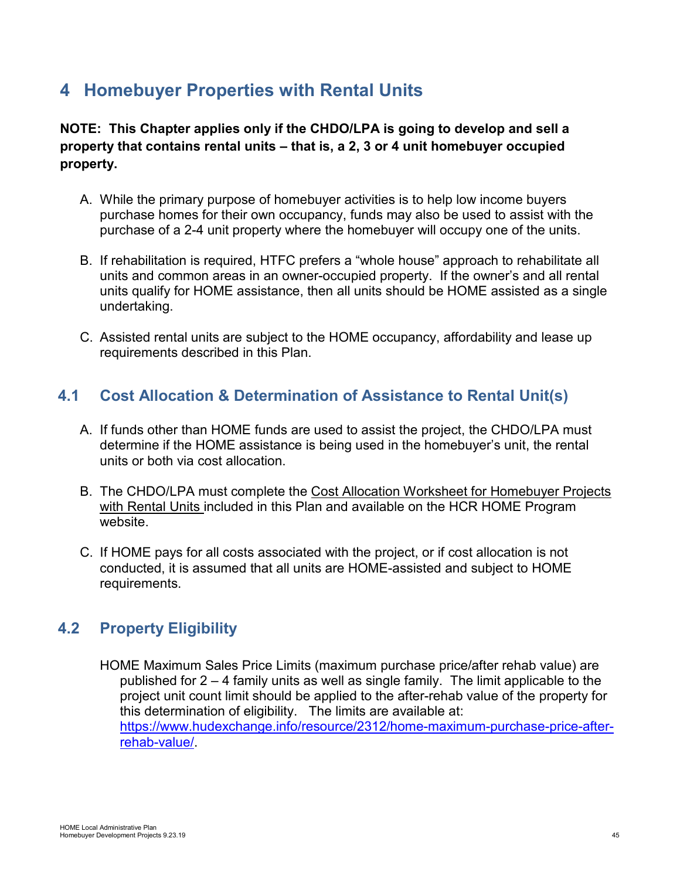# <span id="page-44-0"></span>**4 Homebuyer Properties with Rental Units**

**NOTE: This Chapter applies only if the CHDO/LPA is going to develop and sell a property that contains rental units – that is, a 2, 3 or 4 unit homebuyer occupied property.**

- A. While the primary purpose of homebuyer activities is to help low income buyers purchase homes for their own occupancy, funds may also be used to assist with the purchase of a 2-4 unit property where the homebuyer will occupy one of the units.
- B. If rehabilitation is required, HTFC prefers a "whole house" approach to rehabilitate all units and common areas in an owner-occupied property. If the owner's and all rental units qualify for HOME assistance, then all units should be HOME assisted as a single undertaking.
- C. Assisted rental units are subject to the HOME occupancy, affordability and lease up requirements described in this Plan.

# <span id="page-44-1"></span>**4.1 Cost Allocation & Determination of Assistance to Rental Unit(s)**

- A. If funds other than HOME funds are used to assist the project, the CHDO/LPA must determine if the HOME assistance is being used in the homebuyer's unit, the rental units or both via cost allocation.
- B. The CHDO/LPA must complete the Cost Allocation Worksheet for Homebuyer Projects with Rental Units included in this Plan and available on the HCR HOME Program website.
- C. If HOME pays for all costs associated with the project, or if cost allocation is not conducted, it is assumed that all units are HOME-assisted and subject to HOME requirements.

# <span id="page-44-2"></span>**4.2 Property Eligibility**

HOME Maximum Sales Price Limits (maximum purchase price/after rehab value) are published for 2 – 4 family units as well as single family. The limit applicable to the project unit count limit should be applied to the after-rehab value of the property for this determination of eligibility. The limits are available at: [https://www.hudexchange.info/resource/2312/home-maximum-purchase-price-after](https://www.hudexchange.info/resource/2312/home-maximum-purchase-price-after-rehab-value/)[rehab-value/.](https://www.hudexchange.info/resource/2312/home-maximum-purchase-price-after-rehab-value/)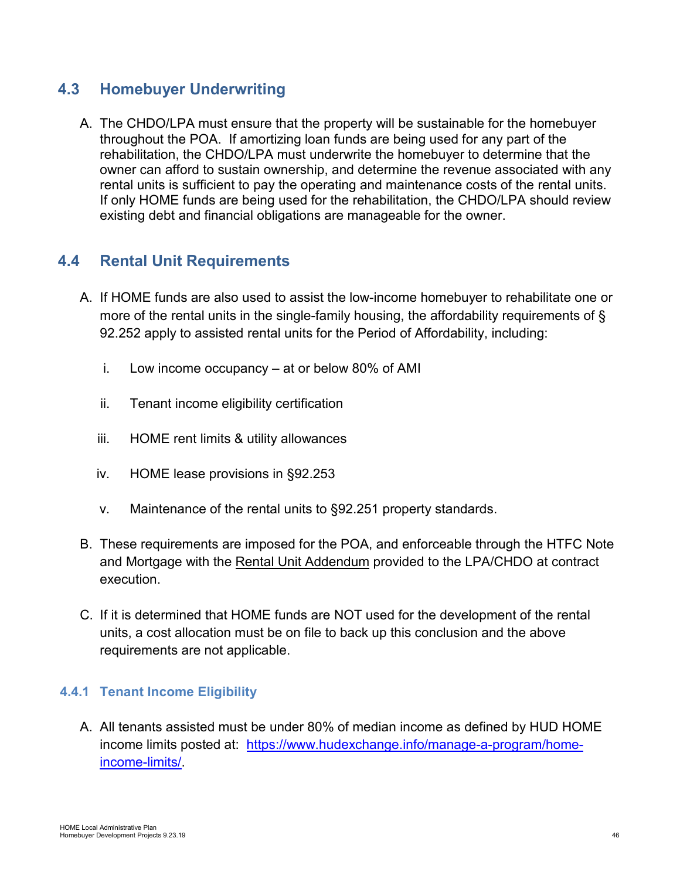# <span id="page-45-0"></span>**4.3 Homebuyer Underwriting**

A. The CHDO/LPA must ensure that the property will be sustainable for the homebuyer throughout the POA. If amortizing loan funds are being used for any part of the rehabilitation, the CHDO/LPA must underwrite the homebuyer to determine that the owner can afford to sustain ownership, and determine the revenue associated with any rental units is sufficient to pay the operating and maintenance costs of the rental units. If only HOME funds are being used for the rehabilitation, the CHDO/LPA should review existing debt and financial obligations are manageable for the owner.

# <span id="page-45-1"></span>**4.4 Rental Unit Requirements**

- A. If HOME funds are also used to assist the low-income homebuyer to rehabilitate one or more of the rental units in the single-family housing, the affordability requirements of § 92.252 apply to assisted rental units for the Period of Affordability, including:
	- i. Low income occupancy at or below 80% of AMI
	- ii. Tenant income eligibility certification
	- iii. HOME rent limits & utility allowances
	- iv. HOME lease provisions in §92.253
	- v. Maintenance of the rental units to §92.251 property standards.
- B. These requirements are imposed for the POA, and enforceable through the HTFC Note and Mortgage with the Rental Unit Addendum provided to the LPA/CHDO at contract execution.
- C. If it is determined that HOME funds are NOT used for the development of the rental units, a cost allocation must be on file to back up this conclusion and the above requirements are not applicable.

## <span id="page-45-2"></span>**4.4.1 Tenant Income Eligibility**

A. All tenants assisted must be under 80% of median income as defined by HUD HOME income limits posted at: [https://www.hudexchange.info/manage-a-program/home](https://www.hudexchange.info/manage-a-program/home-income-limits/)[income-limits/.](https://www.hudexchange.info/manage-a-program/home-income-limits/)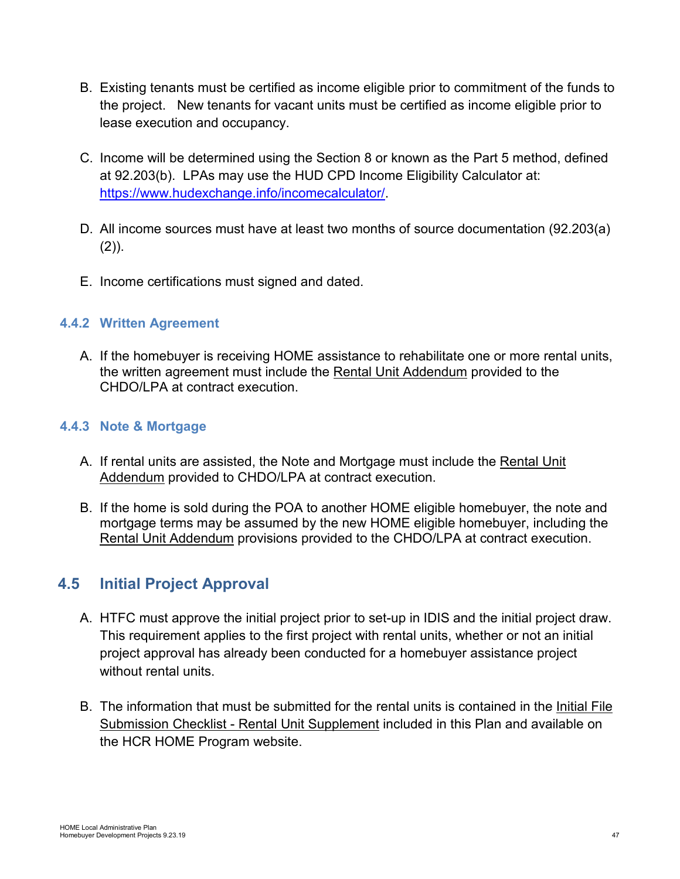- B. Existing tenants must be certified as income eligible prior to commitment of the funds to the project. New tenants for vacant units must be certified as income eligible prior to lease execution and occupancy.
- C. Income will be determined using the Section 8 or known as the Part 5 method, defined at 92.203(b). LPAs may use the HUD CPD Income Eligibility Calculator at: [https://www.hudexchange.info/incomecalculator/.](https://www.hudexchange.info/incomecalculator/)
- D. All income sources must have at least two months of source documentation (92.203(a)  $(2)$ ).
- E. Income certifications must signed and dated.

## <span id="page-46-0"></span>**4.4.2 Written Agreement**

A. If the homebuyer is receiving HOME assistance to rehabilitate one or more rental units, the written agreement must include the Rental Unit Addendum provided to the CHDO/LPA at contract execution.

### <span id="page-46-1"></span>**4.4.3 Note & Mortgage**

- A. If rental units are assisted, the Note and Mortgage must include the Rental Unit Addendum provided to CHDO/LPA at contract execution.
- B. If the home is sold during the POA to another HOME eligible homebuyer, the note and mortgage terms may be assumed by the new HOME eligible homebuyer, including the Rental Unit Addendum provisions provided to the CHDO/LPA at contract execution.

# <span id="page-46-2"></span>**4.5 Initial Project Approval**

- A. HTFC must approve the initial project prior to set-up in IDIS and the initial project draw. This requirement applies to the first project with rental units, whether or not an initial project approval has already been conducted for a homebuyer assistance project without rental units.
- B. The information that must be submitted for the rental units is contained in the Initial File Submission Checklist - Rental Unit Supplement included in this Plan and available on the HCR HOME Program website.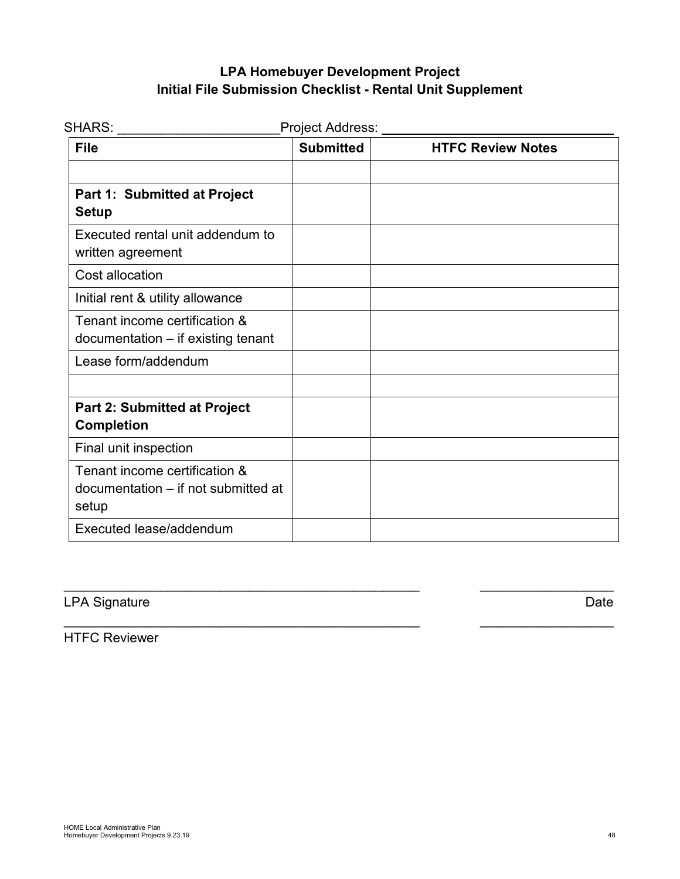# **LPA Homebuyer Development Project Initial File Submission Checklist - Rental Unit Supplement**

| <b>SHARS:</b> _______                                                         | Project Address: __ |                          |
|-------------------------------------------------------------------------------|---------------------|--------------------------|
| <b>File</b>                                                                   | <b>Submitted</b>    | <b>HTFC Review Notes</b> |
| Part 1: Submitted at Project<br><b>Setup</b>                                  |                     |                          |
| Executed rental unit addendum to<br>written agreement                         |                     |                          |
| Cost allocation                                                               |                     |                          |
| Initial rent & utility allowance                                              |                     |                          |
| Tenant income certification &<br>documentation - if existing tenant           |                     |                          |
| Lease form/addendum                                                           |                     |                          |
|                                                                               |                     |                          |
| <b>Part 2: Submitted at Project</b><br><b>Completion</b>                      |                     |                          |
| Final unit inspection                                                         |                     |                          |
| Tenant income certification &<br>documentation – if not submitted at<br>setup |                     |                          |
| Executed lease/addendum                                                       |                     |                          |

 $\overline{a}$  , and the contribution of the contribution of the contribution of the contribution of  $\overline{a}$ 

 $\overline{a}$  , and the contribution of the contribution of the contribution of the contribution of  $\overline{a}$ 

# LPA Signature Date

HTFC Reviewer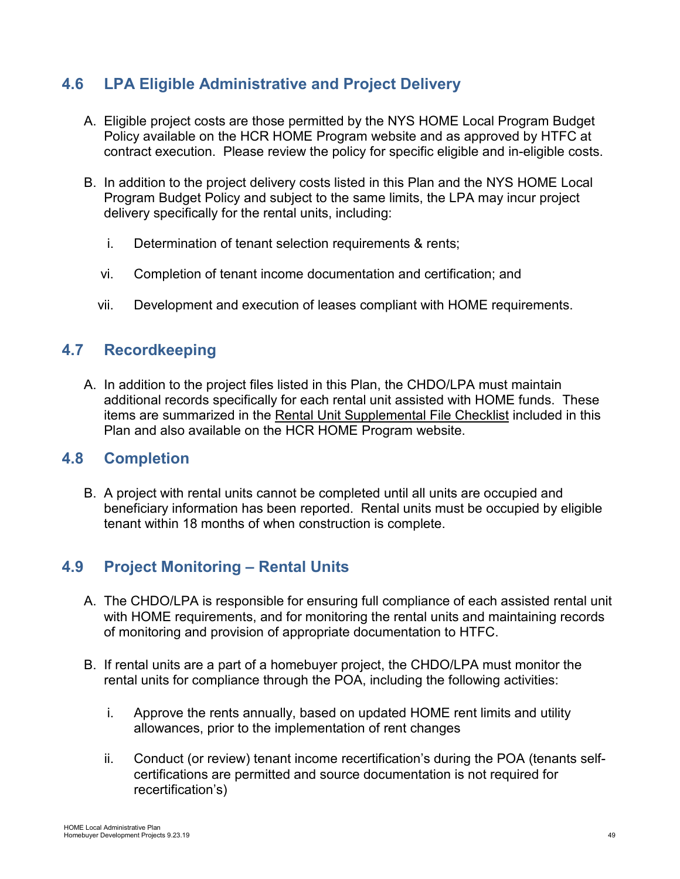# <span id="page-48-0"></span>**4.6 LPA Eligible Administrative and Project Delivery**

- A. Eligible project costs are those permitted by the NYS HOME Local Program Budget Policy available on the HCR HOME Program website and as approved by HTFC at contract execution. Please review the policy for specific eligible and in-eligible costs.
- B. In addition to the project delivery costs listed in this Plan and the NYS HOME Local Program Budget Policy and subject to the same limits, the LPA may incur project delivery specifically for the rental units, including:
	- i. Determination of tenant selection requirements & rents;
	- vi. Completion of tenant income documentation and certification; and
	- vii. Development and execution of leases compliant with HOME requirements.

# <span id="page-48-1"></span>**4.7 Recordkeeping**

A. In addition to the project files listed in this Plan, the CHDO/LPA must maintain additional records specifically for each rental unit assisted with HOME funds. These items are summarized in the Rental Unit Supplemental File Checklist included in this Plan and also available on the HCR HOME Program website.

## **4.8 Completion**

B. A project with rental units cannot be completed until all units are occupied and beneficiary information has been reported. Rental units must be occupied by eligible tenant within 18 months of when construction is complete.

# <span id="page-48-2"></span>**4.9 Project Monitoring – Rental Units**

- A. The CHDO/LPA is responsible for ensuring full compliance of each assisted rental unit with HOME requirements, and for monitoring the rental units and maintaining records of monitoring and provision of appropriate documentation to HTFC.
- B. If rental units are a part of a homebuyer project, the CHDO/LPA must monitor the rental units for compliance through the POA, including the following activities:
	- i. Approve the rents annually, based on updated HOME rent limits and utility allowances, prior to the implementation of rent changes
	- ii. Conduct (or review) tenant income recertification's during the POA (tenants selfcertifications are permitted and source documentation is not required for recertification's)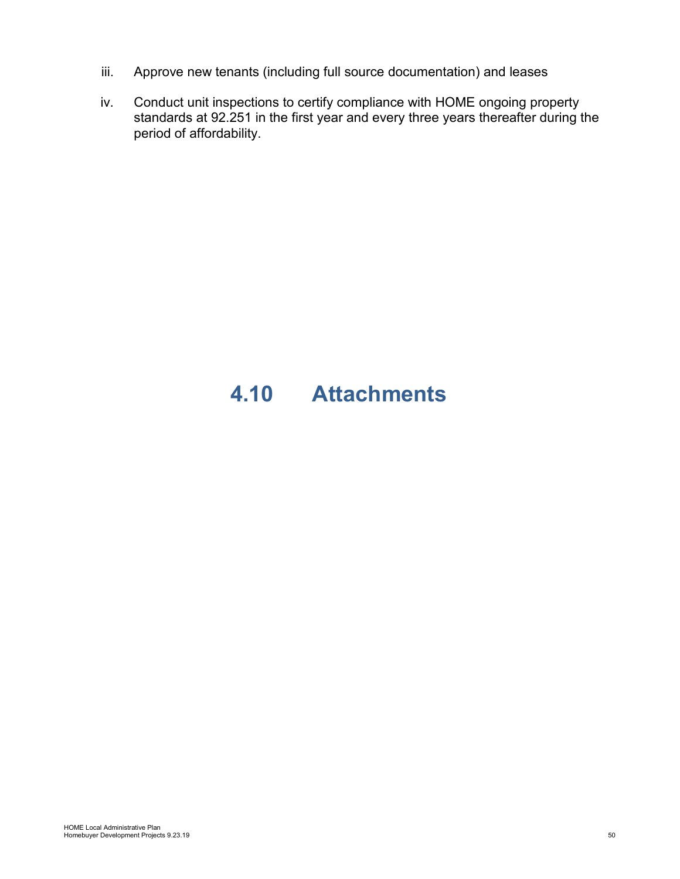- iii. Approve new tenants (including full source documentation) and leases
- iv. Conduct unit inspections to certify compliance with HOME ongoing property standards at 92.251 in the first year and every three years thereafter during the period of affordability.

# <span id="page-49-0"></span>**4.10 Attachments**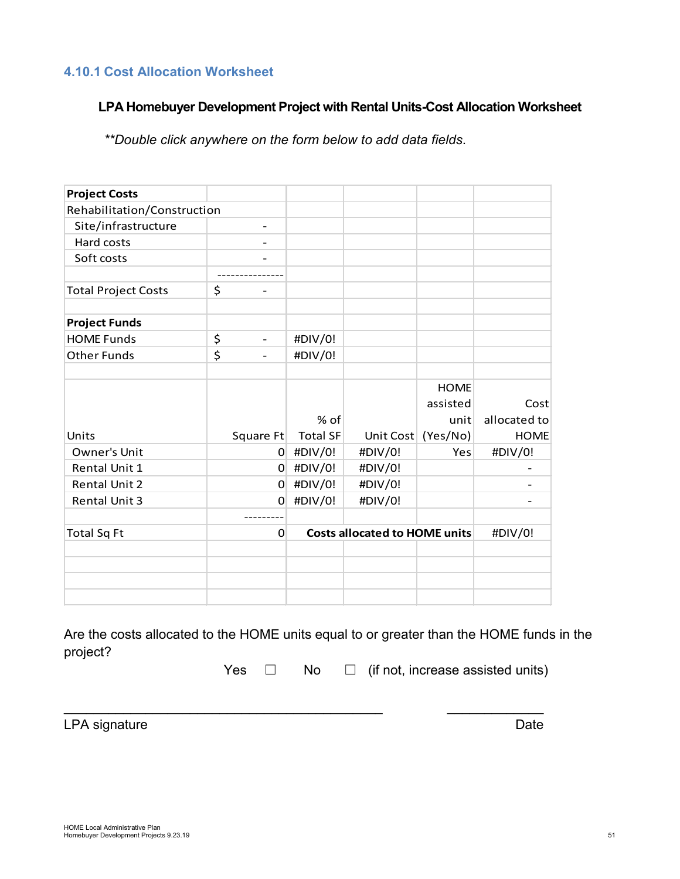### <span id="page-50-0"></span>**4.10.1 Cost Allocation Worksheet**

### **LPA Homebuyer Development Project with Rental Units-Cost Allocation Worksheet**

*\*\*Double click anywhere on the form below to add data fields*.

| <b>Project Costs</b>        |                                |                 |                                      |                                 |                      |
|-----------------------------|--------------------------------|-----------------|--------------------------------------|---------------------------------|----------------------|
| Rehabilitation/Construction |                                |                 |                                      |                                 |                      |
| Site/infrastructure         |                                |                 |                                      |                                 |                      |
| Hard costs                  |                                |                 |                                      |                                 |                      |
| Soft costs                  |                                |                 |                                      |                                 |                      |
|                             |                                |                 |                                      |                                 |                      |
| <b>Total Project Costs</b>  | \$                             |                 |                                      |                                 |                      |
| <b>Project Funds</b>        |                                |                 |                                      |                                 |                      |
| <b>HOME Funds</b>           | \$<br>$\overline{\phantom{0}}$ | #DIV/0!         |                                      |                                 |                      |
| <b>Other Funds</b>          | \$<br>$\overline{\phantom{a}}$ | #DIV/0!         |                                      |                                 |                      |
|                             |                                | % of            |                                      | <b>HOME</b><br>assisted<br>unit | Cost<br>allocated to |
| Units                       | Square Ft                      | <b>Total SF</b> | Unit Cost                            | (Yes/No)                        | <b>HOME</b>          |
| Owner's Unit                | $\Omega$                       | #DIV/0!         | #DIV/0!                              | Yes                             | #DIV/0!              |
| Rental Unit 1               | 0                              | #DIV/0!         | #DIV/0!                              |                                 |                      |
| <b>Rental Unit 2</b>        | $\Omega$                       | #DIV/0!         | #DIV/0!                              |                                 |                      |
| <b>Rental Unit 3</b>        | $\Omega$                       | #DIV/0!         | #DIV/0!                              |                                 |                      |
| <b>Total Sq Ft</b>          | 0                              |                 | <b>Costs allocated to HOME units</b> |                                 | #DIV/0!              |
|                             |                                |                 |                                      |                                 |                      |
|                             |                                |                 |                                      |                                 |                      |

Are the costs allocated to the HOME units equal to or greater than the HOME funds in the project?

\_\_\_\_\_\_\_\_\_\_\_\_\_\_\_\_\_\_\_\_\_\_\_\_\_\_\_\_\_\_\_\_\_\_\_\_\_\_\_\_\_\_\_ \_\_\_\_\_\_\_\_\_\_\_\_\_

Yes  $\Box$  No  $\Box$  (if not, increase assisted units)

LPA signature Date Date Contract and Date Date Date Date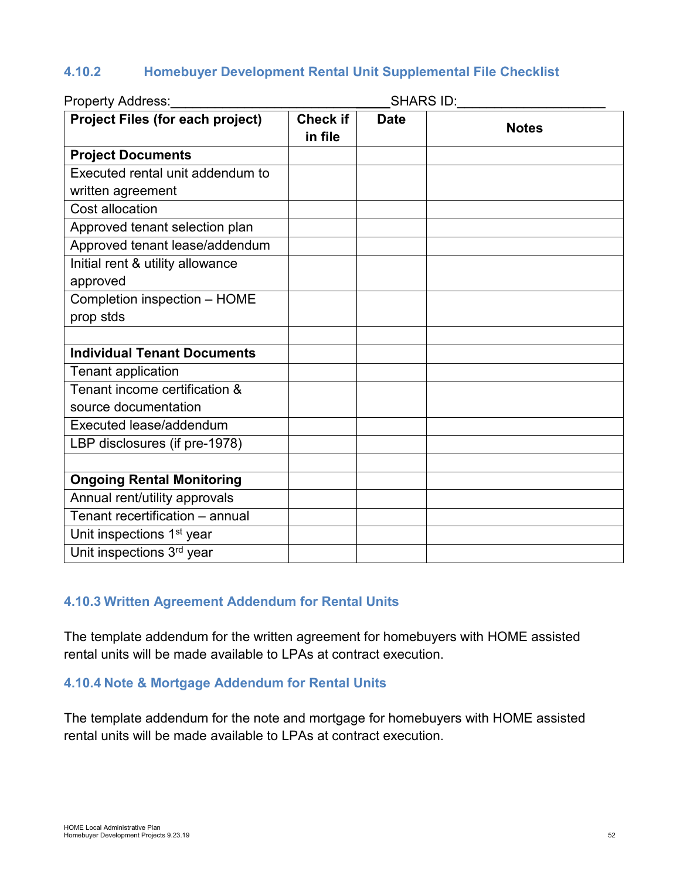# <span id="page-51-0"></span>**4.10.2 Homebuyer Development Rental Unit Supplemental File Checklist**

| Property Address:                       | SHARS ID:                  |             |              |  |
|-----------------------------------------|----------------------------|-------------|--------------|--|
| <b>Project Files (for each project)</b> | <b>Check if</b><br>in file | <b>Date</b> | <b>Notes</b> |  |
| <b>Project Documents</b>                |                            |             |              |  |
| Executed rental unit addendum to        |                            |             |              |  |
| written agreement                       |                            |             |              |  |
| Cost allocation                         |                            |             |              |  |
| Approved tenant selection plan          |                            |             |              |  |
| Approved tenant lease/addendum          |                            |             |              |  |
| Initial rent & utility allowance        |                            |             |              |  |
| approved                                |                            |             |              |  |
| Completion inspection - HOME            |                            |             |              |  |
| prop stds                               |                            |             |              |  |
|                                         |                            |             |              |  |
| <b>Individual Tenant Documents</b>      |                            |             |              |  |
| <b>Tenant application</b>               |                            |             |              |  |
| Tenant income certification &           |                            |             |              |  |
| source documentation                    |                            |             |              |  |
| Executed lease/addendum                 |                            |             |              |  |
| LBP disclosures (if pre-1978)           |                            |             |              |  |
|                                         |                            |             |              |  |
| <b>Ongoing Rental Monitoring</b>        |                            |             |              |  |
| Annual rent/utility approvals           |                            |             |              |  |
| Tenant recertification - annual         |                            |             |              |  |
| Unit inspections 1 <sup>st</sup> year   |                            |             |              |  |
| Unit inspections 3rd year               |                            |             |              |  |

### <span id="page-51-1"></span>**4.10.3 Written Agreement Addendum for Rental Units**

The template addendum for the written agreement for homebuyers with HOME assisted rental units will be made available to LPAs at contract execution.

#### <span id="page-51-2"></span>**4.10.4 Note & Mortgage Addendum for Rental Units**

The template addendum for the note and mortgage for homebuyers with HOME assisted rental units will be made available to LPAs at contract execution.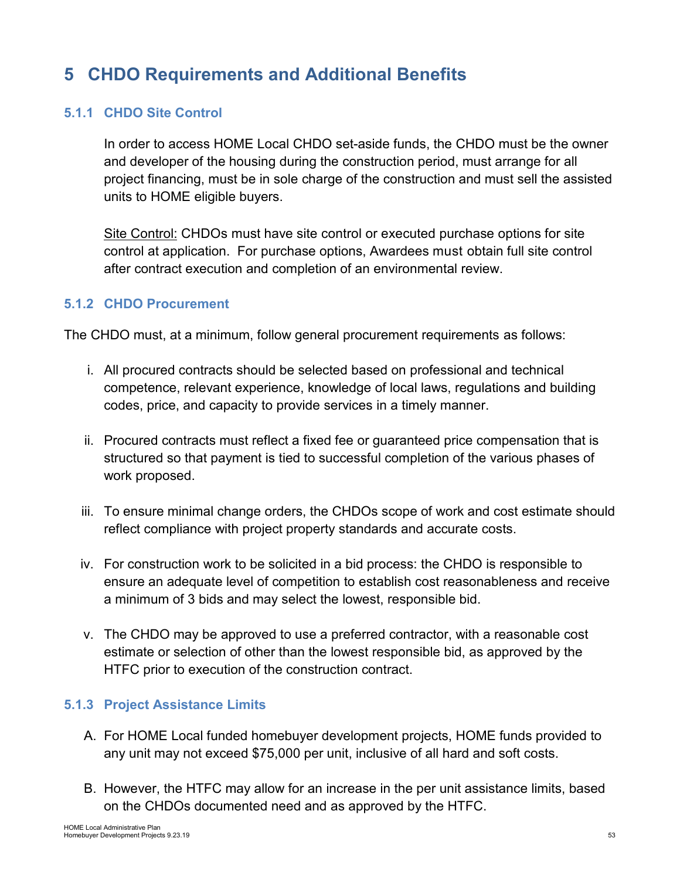# <span id="page-52-0"></span>**5 CHDO Requirements and Additional Benefits**

### <span id="page-52-1"></span>**5.1.1 CHDO Site Control**

In order to access HOME Local CHDO set-aside funds, the CHDO must be the owner and developer of the housing during the construction period, must arrange for all project financing, must be in sole charge of the construction and must sell the assisted units to HOME eligible buyers.

Site Control: CHDOs must have site control or executed purchase options for site control at application. For purchase options, Awardees must obtain full site control after contract execution and completion of an environmental review.

### <span id="page-52-2"></span>**5.1.2 CHDO Procurement**

The CHDO must, at a minimum, follow general procurement requirements as follows:

- i. All procured contracts should be selected based on professional and technical competence, relevant experience, knowledge of local laws, regulations and building codes, price, and capacity to provide services in a timely manner.
- ii. Procured contracts must reflect a fixed fee or guaranteed price compensation that is structured so that payment is tied to successful completion of the various phases of work proposed.
- iii. To ensure minimal change orders, the CHDOs scope of work and cost estimate should reflect compliance with project property standards and accurate costs.
- iv. For construction work to be solicited in a bid process: the CHDO is responsible to ensure an adequate level of competition to establish cost reasonableness and receive a minimum of 3 bids and may select the lowest, responsible bid.
- v. The CHDO may be approved to use a preferred contractor, with a reasonable cost estimate or selection of other than the lowest responsible bid, as approved by the HTFC prior to execution of the construction contract.

#### <span id="page-52-3"></span>**5.1.3 Project Assistance Limits**

- A. For HOME Local funded homebuyer development projects, HOME funds provided to any unit may not exceed \$75,000 per unit, inclusive of all hard and soft costs.
- B. However, the HTFC may allow for an increase in the per unit assistance limits, based on the CHDOs documented need and as approved by the HTFC.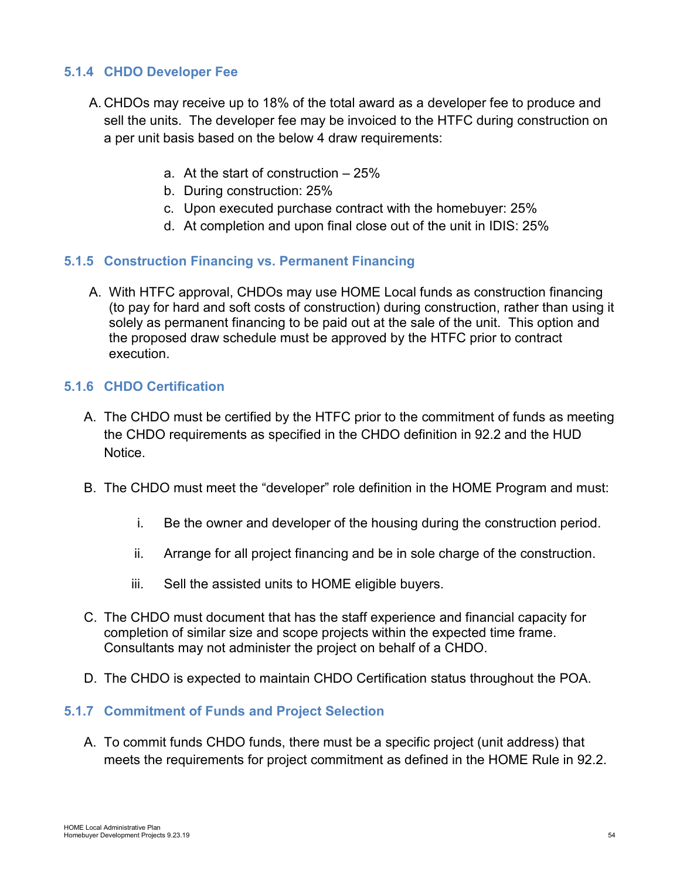## <span id="page-53-0"></span>**5.1.4 CHDO Developer Fee**

- A. CHDOs may receive up to 18% of the total award as a developer fee to produce and sell the units. The developer fee may be invoiced to the HTFC during construction on a per unit basis based on the below 4 draw requirements:
	- a. At the start of construction 25%
	- b. During construction: 25%
	- c. Upon executed purchase contract with the homebuyer: 25%
	- d. At completion and upon final close out of the unit in IDIS: 25%

### <span id="page-53-1"></span>**5.1.5 Construction Financing vs. Permanent Financing**

A. With HTFC approval, CHDOs may use HOME Local funds as construction financing (to pay for hard and soft costs of construction) during construction, rather than using it solely as permanent financing to be paid out at the sale of the unit. This option and the proposed draw schedule must be approved by the HTFC prior to contract execution.

#### <span id="page-53-2"></span>**5.1.6 CHDO Certification**

- A. The CHDO must be certified by the HTFC prior to the commitment of funds as meeting the CHDO requirements as specified in the CHDO definition in 92.2 and the HUD **Notice**
- B. The CHDO must meet the "developer" role definition in the HOME Program and must:
	- i. Be the owner and developer of the housing during the construction period.
	- ii. Arrange for all project financing and be in sole charge of the construction.
	- iii. Sell the assisted units to HOME eligible buyers.
- C. The CHDO must document that has the staff experience and financial capacity for completion of similar size and scope projects within the expected time frame. Consultants may not administer the project on behalf of a CHDO.
- D. The CHDO is expected to maintain CHDO Certification status throughout the POA.

#### <span id="page-53-3"></span>**5.1.7 Commitment of Funds and Project Selection**

A. To commit funds CHDO funds, there must be a specific project (unit address) that meets the requirements for project commitment as defined in the HOME Rule in 92.2.